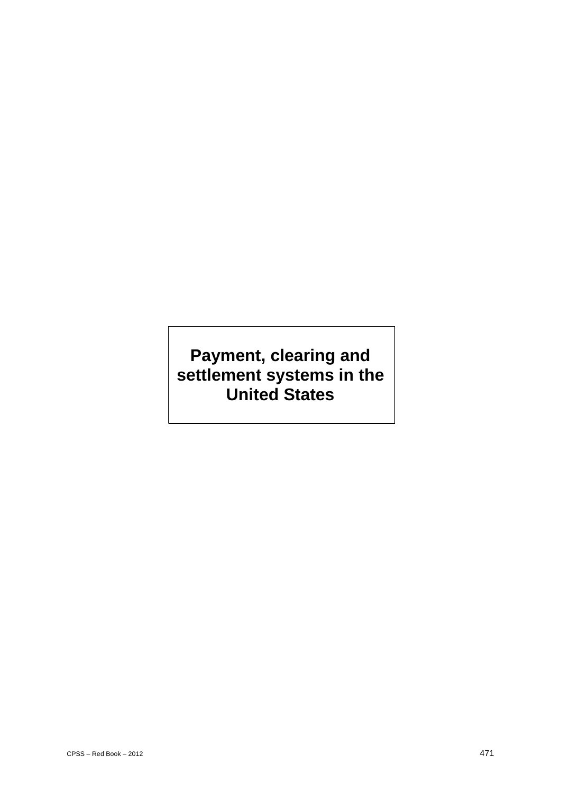# **Payment, clearing and settlement systems in the United States**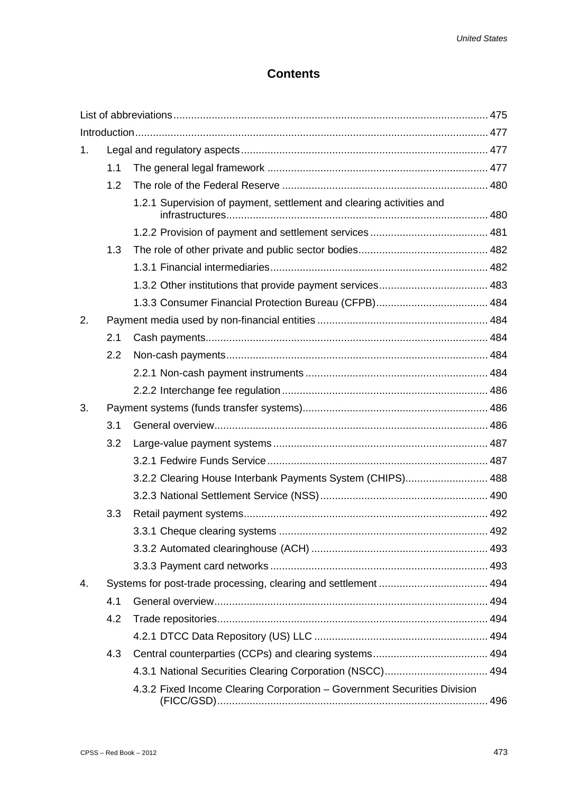# **Contents**

| 1. |     |                                                                          |  |  |
|----|-----|--------------------------------------------------------------------------|--|--|
|    | 1.1 |                                                                          |  |  |
|    | 1.2 |                                                                          |  |  |
|    |     | 1.2.1 Supervision of payment, settlement and clearing activities and     |  |  |
|    |     |                                                                          |  |  |
|    | 1.3 |                                                                          |  |  |
|    |     |                                                                          |  |  |
|    |     |                                                                          |  |  |
|    |     |                                                                          |  |  |
| 2. |     |                                                                          |  |  |
|    | 2.1 |                                                                          |  |  |
|    | 2.2 |                                                                          |  |  |
|    |     |                                                                          |  |  |
|    |     |                                                                          |  |  |
| 3. |     |                                                                          |  |  |
|    | 3.1 |                                                                          |  |  |
|    | 3.2 |                                                                          |  |  |
|    |     |                                                                          |  |  |
|    |     | 3.2.2 Clearing House Interbank Payments System (CHIPS) 488               |  |  |
|    |     |                                                                          |  |  |
|    | 3.3 |                                                                          |  |  |
|    |     |                                                                          |  |  |
|    |     |                                                                          |  |  |
|    |     |                                                                          |  |  |
| 4. |     |                                                                          |  |  |
|    | 4.1 |                                                                          |  |  |
|    | 4.2 |                                                                          |  |  |
|    |     |                                                                          |  |  |
|    | 4.3 |                                                                          |  |  |
|    |     | 4.3.1 National Securities Clearing Corporation (NSCC) 494                |  |  |
|    |     | 4.3.2 Fixed Income Clearing Corporation - Government Securities Division |  |  |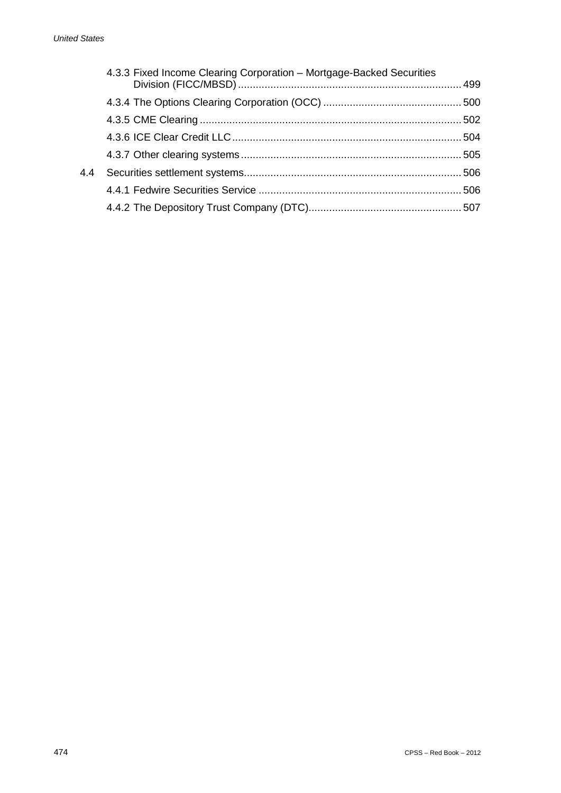|     | 4.3.3 Fixed Income Clearing Corporation - Mortgage-Backed Securities |  |
|-----|----------------------------------------------------------------------|--|
|     |                                                                      |  |
|     |                                                                      |  |
|     |                                                                      |  |
|     |                                                                      |  |
| 4.4 |                                                                      |  |
|     |                                                                      |  |
|     |                                                                      |  |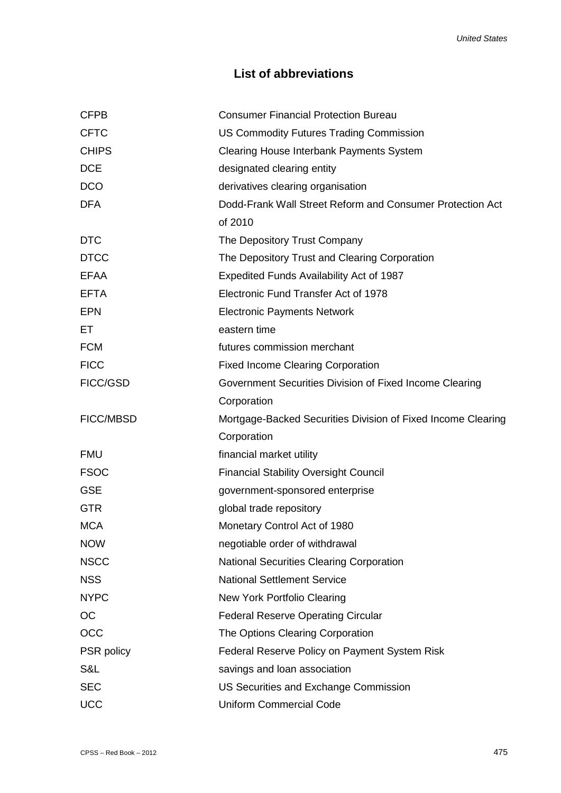# **List of abbreviations**

| <b>CFPB</b>      | <b>Consumer Financial Protection Bureau</b>                  |
|------------------|--------------------------------------------------------------|
| <b>CFTC</b>      | US Commodity Futures Trading Commission                      |
| <b>CHIPS</b>     | Clearing House Interbank Payments System                     |
| <b>DCE</b>       | designated clearing entity                                   |
| <b>DCO</b>       | derivatives clearing organisation                            |
| <b>DFA</b>       | Dodd-Frank Wall Street Reform and Consumer Protection Act    |
|                  | of 2010                                                      |
| <b>DTC</b>       | The Depository Trust Company                                 |
| <b>DTCC</b>      | The Depository Trust and Clearing Corporation                |
| <b>EFAA</b>      | Expedited Funds Availability Act of 1987                     |
| <b>EFTA</b>      | Electronic Fund Transfer Act of 1978                         |
| <b>EPN</b>       | <b>Electronic Payments Network</b>                           |
| EТ               | eastern time                                                 |
| <b>FCM</b>       | futures commission merchant                                  |
| <b>FICC</b>      | <b>Fixed Income Clearing Corporation</b>                     |
| FICC/GSD         | Government Securities Division of Fixed Income Clearing      |
|                  | Corporation                                                  |
| <b>FICC/MBSD</b> | Mortgage-Backed Securities Division of Fixed Income Clearing |
|                  | Corporation                                                  |
| <b>FMU</b>       | financial market utility                                     |
| <b>FSOC</b>      | <b>Financial Stability Oversight Council</b>                 |
| <b>GSE</b>       | government-sponsored enterprise                              |
| <b>GTR</b>       | global trade repository                                      |
| <b>MCA</b>       | Monetary Control Act of 1980                                 |
| <b>NOW</b>       | negotiable order of withdrawal                               |
| <b>NSCC</b>      | <b>National Securities Clearing Corporation</b>              |
| <b>NSS</b>       | <b>National Settlement Service</b>                           |
| <b>NYPC</b>      | New York Portfolio Clearing                                  |
| <b>OC</b>        | <b>Federal Reserve Operating Circular</b>                    |
| <b>OCC</b>       | The Options Clearing Corporation                             |
| PSR policy       | Federal Reserve Policy on Payment System Risk                |
| S&L              | savings and loan association                                 |
| <b>SEC</b>       | US Securities and Exchange Commission                        |
| <b>UCC</b>       | <b>Uniform Commercial Code</b>                               |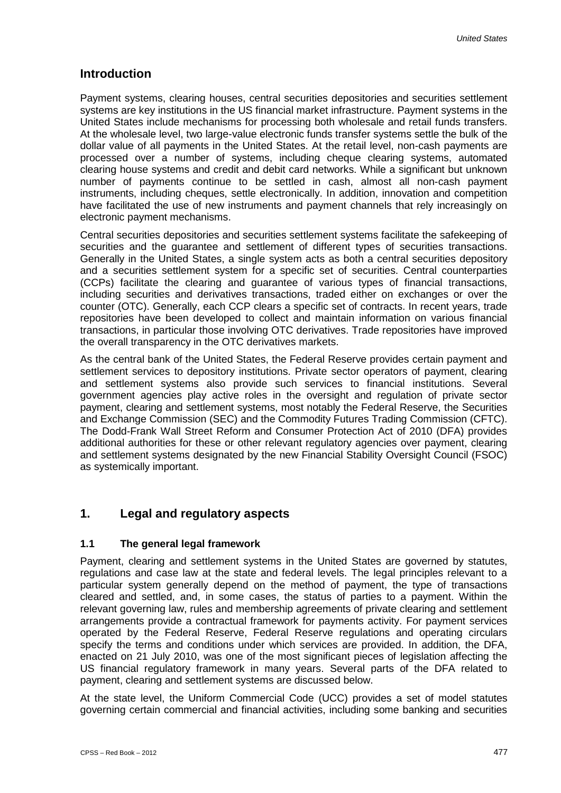# **Introduction**

Payment systems, clearing houses, central securities depositories and securities settlement systems are key institutions in the US financial market infrastructure. Payment systems in the United States include mechanisms for processing both wholesale and retail funds transfers. At the wholesale level, two large-value electronic funds transfer systems settle the bulk of the dollar value of all payments in the United States. At the retail level, non-cash payments are processed over a number of systems, including cheque clearing systems, automated clearing house systems and credit and debit card networks. While a significant but unknown number of payments continue to be settled in cash, almost all non-cash payment instruments, including cheques, settle electronically. In addition, innovation and competition have facilitated the use of new instruments and payment channels that rely increasingly on electronic payment mechanisms.

Central securities depositories and securities settlement systems facilitate the safekeeping of securities and the guarantee and settlement of different types of securities transactions. Generally in the United States, a single system acts as both a central securities depository and a securities settlement system for a specific set of securities. Central counterparties (CCPs) facilitate the clearing and guarantee of various types of financial transactions, including securities and derivatives transactions, traded either on exchanges or over the counter (OTC). Generally, each CCP clears a specific set of contracts. In recent years, trade repositories have been developed to collect and maintain information on various financial transactions, in particular those involving OTC derivatives. Trade repositories have improved the overall transparency in the OTC derivatives markets.

As the central bank of the United States, the Federal Reserve provides certain payment and settlement services to depository institutions. Private sector operators of payment, clearing and settlement systems also provide such services to financial institutions. Several government agencies play active roles in the oversight and regulation of private sector payment, clearing and settlement systems, most notably the Federal Reserve, the Securities and Exchange Commission (SEC) and the Commodity Futures Trading Commission (CFTC). The Dodd-Frank Wall Street Reform and Consumer Protection Act of 2010 (DFA) provides additional authorities for these or other relevant regulatory agencies over payment, clearing and settlement systems designated by the new Financial Stability Oversight Council (FSOC) as systemically important.

# **1. Legal and regulatory aspects**

### **1.1 The general legal framework**

Payment, clearing and settlement systems in the United States are governed by statutes, regulations and case law at the state and federal levels. The legal principles relevant to a particular system generally depend on the method of payment, the type of transactions cleared and settled, and, in some cases, the status of parties to a payment. Within the relevant governing law, rules and membership agreements of private clearing and settlement arrangements provide a contractual framework for payments activity. For payment services operated by the Federal Reserve, Federal Reserve regulations and operating circulars specify the terms and conditions under which services are provided. In addition, the DFA, enacted on 21 July 2010, was one of the most significant pieces of legislation affecting the US financial regulatory framework in many years. Several parts of the DFA related to payment, clearing and settlement systems are discussed below.

At the state level, the Uniform Commercial Code (UCC) provides a set of model statutes governing certain commercial and financial activities, including some banking and securities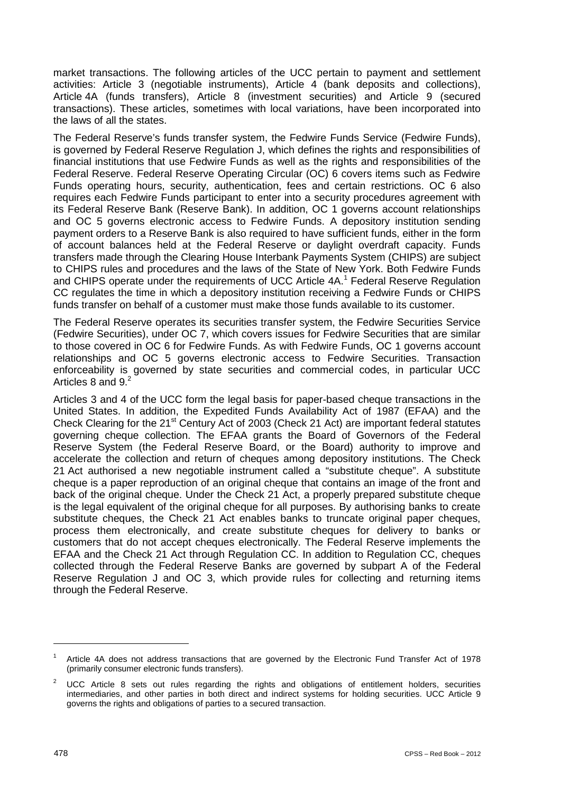market transactions. The following articles of the UCC pertain to payment and settlement activities: Article 3 (negotiable instruments), Article 4 (bank deposits and collections), Article 4A (funds transfers), Article 8 (investment securities) and Article 9 (secured transactions). These articles, sometimes with local variations, have been incorporated into the laws of all the states.

The Federal Reserve's funds transfer system, the Fedwire Funds Service (Fedwire Funds), is governed by Federal Reserve Regulation J, which defines the rights and responsibilities of financial institutions that use Fedwire Funds as well as the rights and responsibilities of the Federal Reserve. Federal Reserve Operating Circular (OC) 6 covers items such as Fedwire Funds operating hours, security, authentication, fees and certain restrictions. OC 6 also requires each Fedwire Funds participant to enter into a security procedures agreement with its Federal Reserve Bank (Reserve Bank). In addition, OC 1 governs account relationships and OC 5 governs electronic access to Fedwire Funds. A depository institution sending payment orders to a Reserve Bank is also required to have sufficient funds, either in the form of account balances held at the Federal Reserve or daylight overdraft capacity. Funds transfers made through the Clearing House Interbank Payments System (CHIPS) are subject to CHIPS rules and procedures and the laws of the State of New York. Both Fedwire Funds and CHIPS operate under the requirements of UCC Article 4A.<sup>1</sup> Federal Reserve Regulation CC regulates the time in which a depository institution receiving a Fedwire Funds or CHIPS funds transfer on behalf of a customer must make those funds available to its customer.

The Federal Reserve operates its securities transfer system, the Fedwire Securities Service (Fedwire Securities), under OC 7, which covers issues for Fedwire Securities that are similar to those covered in OC 6 for Fedwire Funds. As with Fedwire Funds, OC 1 governs account relationships and OC 5 governs electronic access to Fedwire Securities. Transaction enforceability is governed by state securities and commercial codes, in particular UCC Articles 8 and 9.<sup>2</sup>

Articles 3 and 4 of the UCC form the legal basis for paper-based cheque transactions in the United States. In addition, the Expedited Funds Availability Act of 1987 (EFAA) and the Check Clearing for the 21<sup>st</sup> Century Act of 2003 (Check 21 Act) are important federal statutes governing cheque collection. The EFAA grants the Board of Governors of the Federal Reserve System (the Federal Reserve Board, or the Board) authority to improve and accelerate the collection and return of cheques among depository institutions. The Check 21 Act authorised a new negotiable instrument called a "substitute cheque". A substitute cheque is a paper reproduction of an original cheque that contains an image of the front and back of the original cheque. Under the Check 21 Act, a properly prepared substitute cheque is the legal equivalent of the original cheque for all purposes. By authorising banks to create substitute cheques, the Check 21 Act enables banks to truncate original paper cheques, process them electronically, and create substitute cheques for delivery to banks or customers that do not accept cheques electronically. The Federal Reserve implements the EFAA and the Check 21 Act through Regulation CC. In addition to Regulation CC, cheques collected through the Federal Reserve Banks are governed by subpart A of the Federal Reserve Regulation J and OC 3, which provide rules for collecting and returning items through the Federal Reserve.

Article 4A does not address transactions that are governed by the Electronic Fund Transfer Act of 1978 (primarily consumer electronic funds transfers).

UCC Article 8 sets out rules regarding the rights and obligations of entitlement holders, securities intermediaries, and other parties in both direct and indirect systems for holding securities. UCC Article 9 governs the rights and obligations of parties to a secured transaction.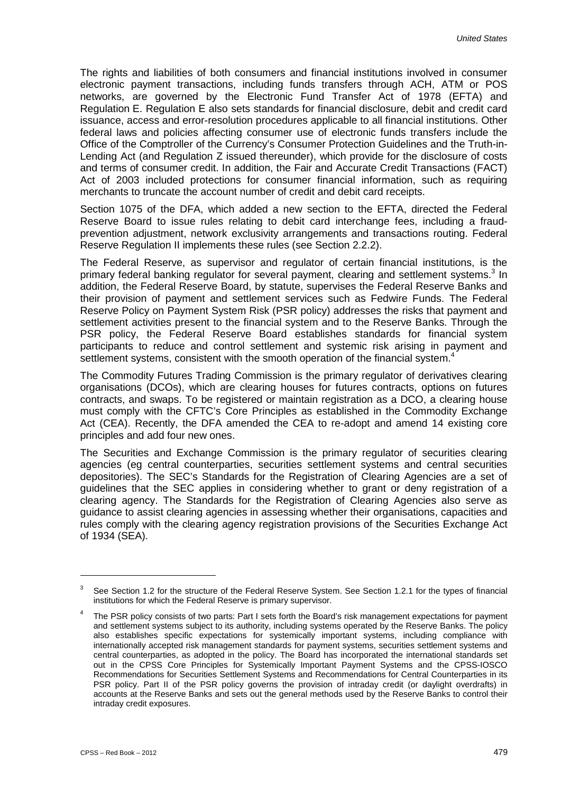The rights and liabilities of both consumers and financial institutions involved in consumer electronic payment transactions, including funds transfers through ACH, ATM or POS networks, are governed by the Electronic Fund Transfer Act of 1978 (EFTA) and Regulation E. Regulation E also sets standards for financial disclosure, debit and credit card issuance, access and error-resolution procedures applicable to all financial institutions. Other federal laws and policies affecting consumer use of electronic funds transfers include the Office of the Comptroller of the Currency's Consumer Protection Guidelines and the Truth-in-Lending Act (and Regulation Z issued thereunder), which provide for the disclosure of costs and terms of consumer credit. In addition, the Fair and Accurate Credit Transactions (FACT) Act of 2003 included protections for consumer financial information, such as requiring merchants to truncate the account number of credit and debit card receipts.

Section 1075 of the DFA, which added a new section to the EFTA, directed the Federal Reserve Board to issue rules relating to debit card interchange fees, including a fraudprevention adjustment, network exclusivity arrangements and transactions routing. Federal Reserve Regulation II implements these rules (see Section 2.2.2).

The Federal Reserve, as supervisor and regulator of certain financial institutions, is the primary federal banking regulator for several payment, clearing and settlement systems.<sup>3</sup> In addition, the Federal Reserve Board, by statute, supervises the Federal Reserve Banks and their provision of payment and settlement services such as Fedwire Funds. The Federal Reserve Policy on Payment System Risk (PSR policy) addresses the risks that payment and settlement activities present to the financial system and to the Reserve Banks. Through the PSR policy, the Federal Reserve Board establishes standards for financial system participants to reduce and control settlement and systemic risk arising in payment and settlement systems, consistent with the smooth operation of the financial system.<sup>4</sup>

The Commodity Futures Trading Commission is the primary regulator of derivatives clearing organisations (DCOs), which are clearing houses for futures contracts, options on futures contracts, and swaps. To be registered or maintain registration as a DCO, a clearing house must comply with the CFTC's Core Principles as established in the Commodity Exchange Act (CEA). Recently, the DFA amended the CEA to re-adopt and amend 14 existing core principles and add four new ones.

The Securities and Exchange Commission is the primary regulator of securities clearing agencies (eg central counterparties, securities settlement systems and central securities depositories). The SEC's Standards for the Registration of Clearing Agencies are a set of guidelines that the SEC applies in considering whether to grant or deny registration of a clearing agency. The Standards for the Registration of Clearing Agencies also serve as guidance to assist clearing agencies in assessing whether their organisations, capacities and rules comply with the clearing agency registration provisions of the Securities Exchange Act of 1934 (SEA).

1

 $3$  See Section 1.2 for the structure of the Federal Reserve System. See Section 1.2.1 for the types of financial institutions for which the Federal Reserve is primary supervisor.

<sup>4</sup> The PSR policy consists of two parts: Part I sets forth the Board's risk management expectations for payment and settlement systems subject to its authority, including systems operated by the Reserve Banks. The policy also establishes specific expectations for systemically important systems, including compliance with internationally accepted risk management standards for payment systems, securities settlement systems and central counterparties, as adopted in the policy. The Board has incorporated the international standards set out in the CPSS Core Principles for Systemically Important Payment Systems and the CPSS-IOSCO Recommendations for Securities Settlement Systems and Recommendations for Central Counterparties in its PSR policy. Part II of the PSR policy governs the provision of intraday credit (or daylight overdrafts) in accounts at the Reserve Banks and sets out the general methods used by the Reserve Banks to control their intraday credit exposures.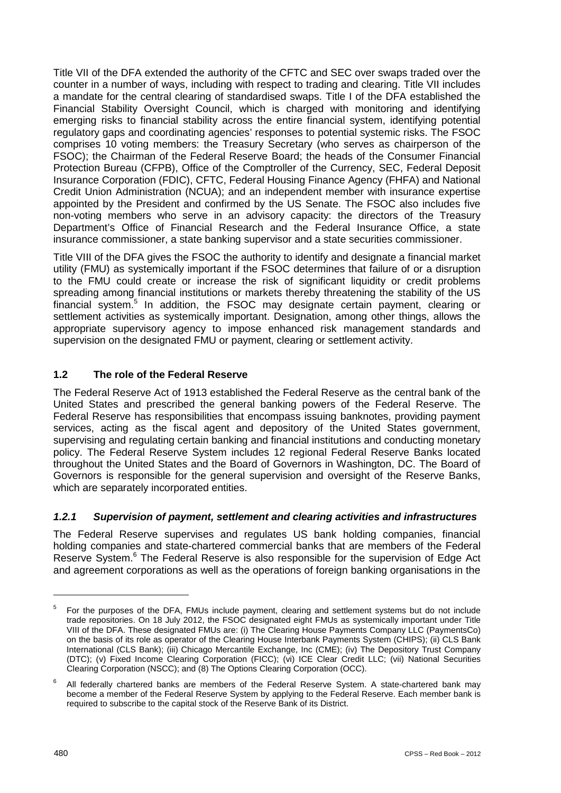Title VII of the DFA extended the authority of the CFTC and SEC over swaps traded over the counter in a number of ways, including with respect to trading and clearing. Title VII includes a mandate for the central clearing of standardised swaps. Title I of the DFA established the Financial Stability Oversight Council, which is charged with monitoring and identifying emerging risks to financial stability across the entire financial system, identifying potential regulatory gaps and coordinating agencies' responses to potential systemic risks. The FSOC comprises 10 voting members: the Treasury Secretary (who serves as chairperson of the FSOC); the Chairman of the Federal Reserve Board; the heads of the Consumer Financial Protection Bureau (CFPB), Office of the Comptroller of the Currency, SEC, Federal Deposit Insurance Corporation (FDIC), CFTC, Federal Housing Finance Agency (FHFA) and National Credit Union Administration (NCUA); and an independent member with insurance expertise appointed by the President and confirmed by the US Senate. The FSOC also includes five non-voting members who serve in an advisory capacity: the directors of the Treasury Department's Office of Financial Research and the Federal Insurance Office, a state insurance commissioner, a state banking supervisor and a state securities commissioner.

Title VIII of the DFA gives the FSOC the authority to identify and designate a financial market utility (FMU) as systemically important if the FSOC determines that failure of or a disruption to the FMU could create or increase the risk of significant liquidity or credit problems spreading among financial institutions or markets thereby threatening the stability of the US financial system.5 In addition, the FSOC may designate certain payment, clearing or settlement activities as systemically important. Designation, among other things, allows the appropriate supervisory agency to impose enhanced risk management standards and supervision on the designated FMU or payment, clearing or settlement activity.

# **1.2 The role of the Federal Reserve**

The Federal Reserve Act of 1913 established the Federal Reserve as the central bank of the United States and prescribed the general banking powers of the Federal Reserve. The Federal Reserve has responsibilities that encompass issuing banknotes, providing payment services, acting as the fiscal agent and depository of the United States government, supervising and regulating certain banking and financial institutions and conducting monetary policy. The Federal Reserve System includes 12 regional Federal Reserve Banks located throughout the United States and the Board of Governors in Washington, DC. The Board of Governors is responsible for the general supervision and oversight of the Reserve Banks, which are separately incorporated entities.

# *1.2.1 Supervision of payment, settlement and clearing activities and infrastructures*

The Federal Reserve supervises and regulates US bank holding companies, financial holding companies and state-chartered commercial banks that are members of the Federal Reserve System.<sup>6</sup> The Federal Reserve is also responsible for the supervision of Edge Act and agreement corporations as well as the operations of foreign banking organisations in the

<sup>&</sup>lt;sup>5</sup> For the purposes of the DFA, FMUs include payment, clearing and settlement systems but do not include trade repositories. On 18 July 2012, the FSOC designated eight FMUs as systemically important under Title VIII of the DFA. These designated FMUs are: (i) The Clearing House Payments Company LLC (PaymentsCo) on the basis of its role as operator of the Clearing House Interbank Payments System (CHIPS); (ii) CLS Bank International (CLS Bank); (iii) Chicago Mercantile Exchange, Inc (CME); (iv) The Depository Trust Company (DTC); (v) Fixed Income Clearing Corporation (FICC); (vi) ICE Clear Credit LLC; (vii) National Securities Clearing Corporation (NSCC); and (8) The Options Clearing Corporation (OCC).

<sup>6</sup> All federally chartered banks are members of the Federal Reserve System. A state-chartered bank may become a member of the Federal Reserve System by applying to the Federal Reserve. Each member bank is required to subscribe to the capital stock of the Reserve Bank of its District.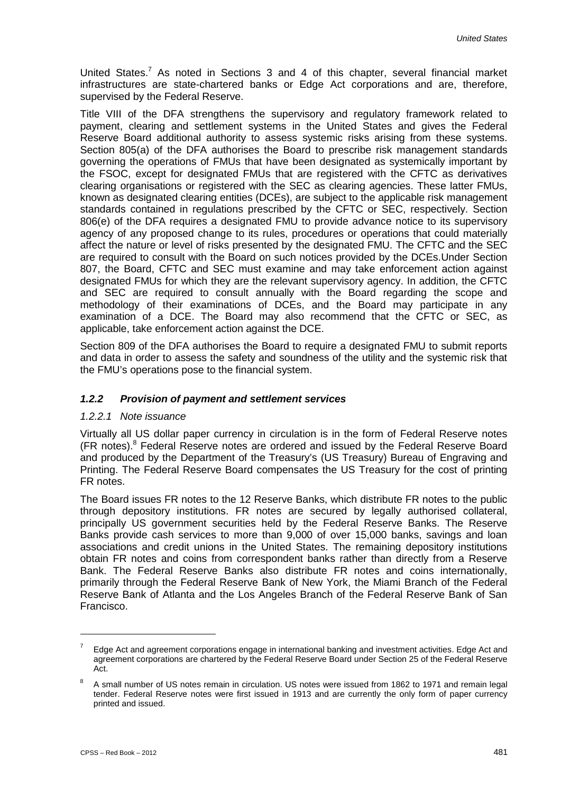United States.<sup>7</sup> As noted in Sections 3 and 4 of this chapter, several financial market infrastructures are state-chartered banks or Edge Act corporations and are, therefore, supervised by the Federal Reserve.

Title VIII of the DFA strengthens the supervisory and regulatory framework related to payment, clearing and settlement systems in the United States and gives the Federal Reserve Board additional authority to assess systemic risks arising from these systems. Section 805(a) of the DFA authorises the Board to prescribe risk management standards governing the operations of FMUs that have been designated as systemically important by the FSOC, except for designated FMUs that are registered with the CFTC as derivatives clearing organisations or registered with the SEC as clearing agencies. These latter FMUs, known as designated clearing entities (DCEs), are subject to the applicable risk management standards contained in regulations prescribed by the CFTC or SEC, respectively. Section 806(e) of the DFA requires a designated FMU to provide advance notice to its supervisory agency of any proposed change to its rules, procedures or operations that could materially affect the nature or level of risks presented by the designated FMU. The CFTC and the SEC are required to consult with the Board on such notices provided by the DCEs.Under Section 807, the Board, CFTC and SEC must examine and may take enforcement action against designated FMUs for which they are the relevant supervisory agency. In addition, the CFTC and SEC are required to consult annually with the Board regarding the scope and methodology of their examinations of DCEs, and the Board may participate in any examination of a DCE. The Board may also recommend that the CFTC or SEC, as applicable, take enforcement action against the DCE.

Section 809 of the DFA authorises the Board to require a designated FMU to submit reports and data in order to assess the safety and soundness of the utility and the systemic risk that the FMU's operations pose to the financial system.

#### *1.2.2 Provision of payment and settlement services*

#### *1.2.2.1 Note issuance*

Virtually all US dollar paper currency in circulation is in the form of Federal Reserve notes (FR notes).<sup>8</sup> Federal Reserve notes are ordered and issued by the Federal Reserve Board and produced by the Department of the Treasury's (US Treasury) Bureau of Engraving and Printing. The Federal Reserve Board compensates the US Treasury for the cost of printing FR notes.

The Board issues FR notes to the 12 Reserve Banks, which distribute FR notes to the public through depository institutions. FR notes are secured by legally authorised collateral, principally US government securities held by the Federal Reserve Banks. The Reserve Banks provide cash services to more than 9,000 of over 15,000 banks, savings and loan associations and credit unions in the United States. The remaining depository institutions obtain FR notes and coins from correspondent banks rather than directly from a Reserve Bank. The Federal Reserve Banks also distribute FR notes and coins internationally, primarily through the Federal Reserve Bank of New York, the Miami Branch of the Federal Reserve Bank of Atlanta and the Los Angeles Branch of the Federal Reserve Bank of San Francisco.

 $7$  Edge Act and agreement corporations engage in international banking and investment activities. Edge Act and agreement corporations are chartered by the Federal Reserve Board under Section 25 of the Federal Reserve Act.

<sup>&</sup>lt;sup>8</sup> A small number of US notes remain in circulation. US notes were issued from 1862 to 1971 and remain legal tender. Federal Reserve notes were first issued in 1913 and are currently the only form of paper currency printed and issued.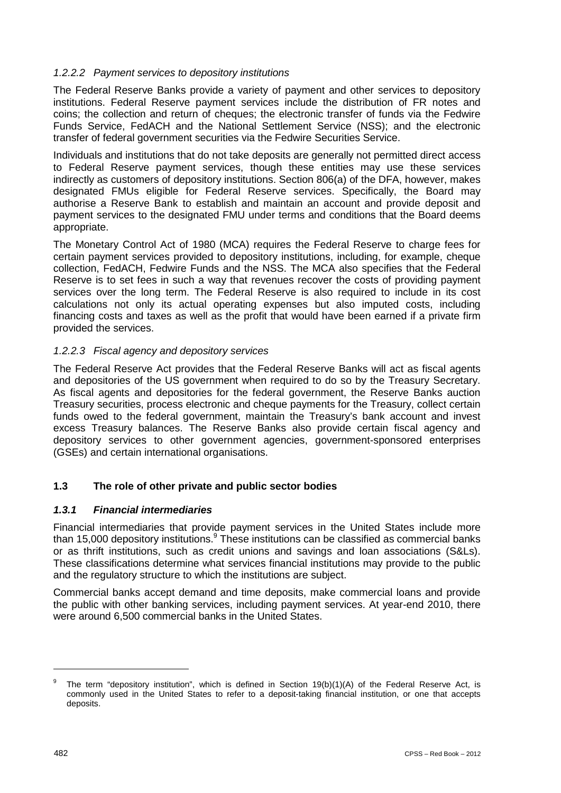# *1.2.2.2 Payment services to depository institutions*

The Federal Reserve Banks provide a variety of payment and other services to depository institutions. Federal Reserve payment services include the distribution of FR notes and coins; the collection and return of cheques; the electronic transfer of funds via the Fedwire Funds Service, FedACH and the National Settlement Service (NSS); and the electronic transfer of federal government securities via the Fedwire Securities Service.

Individuals and institutions that do not take deposits are generally not permitted direct access to Federal Reserve payment services, though these entities may use these services indirectly as customers of depository institutions. Section 806(a) of the DFA, however, makes designated FMUs eligible for Federal Reserve services. Specifically, the Board may authorise a Reserve Bank to establish and maintain an account and provide deposit and payment services to the designated FMU under terms and conditions that the Board deems appropriate.

The Monetary Control Act of 1980 (MCA) requires the Federal Reserve to charge fees for certain payment services provided to depository institutions, including, for example, cheque collection, FedACH, Fedwire Funds and the NSS. The MCA also specifies that the Federal Reserve is to set fees in such a way that revenues recover the costs of providing payment services over the long term. The Federal Reserve is also required to include in its cost calculations not only its actual operating expenses but also imputed costs, including financing costs and taxes as well as the profit that would have been earned if a private firm provided the services.

### *1.2.2.3 Fiscal agency and depository services*

The Federal Reserve Act provides that the Federal Reserve Banks will act as fiscal agents and depositories of the US government when required to do so by the Treasury Secretary. As fiscal agents and depositories for the federal government, the Reserve Banks auction Treasury securities, process electronic and cheque payments for the Treasury, collect certain funds owed to the federal government, maintain the Treasury's bank account and invest excess Treasury balances. The Reserve Banks also provide certain fiscal agency and depository services to other government agencies, government-sponsored enterprises (GSEs) and certain international organisations.

# **1.3 The role of other private and public sector bodies**

### *1.3.1 Financial intermediaries*

Financial intermediaries that provide payment services in the United States include more than 15,000 depository institutions.<sup>9</sup> These institutions can be classified as commercial banks or as thrift institutions, such as credit unions and savings and loan associations (S&Ls). These classifications determine what services financial institutions may provide to the public and the regulatory structure to which the institutions are subject.

Commercial banks accept demand and time deposits, make commercial loans and provide the public with other banking services, including payment services. At year-end 2010, there were around 6,500 commercial banks in the United States.

The term "depository institution", which is defined in Section 19(b)(1)(A) of the Federal Reserve Act, is commonly used in the United States to refer to a deposit-taking financial institution, or one that accepts deposits.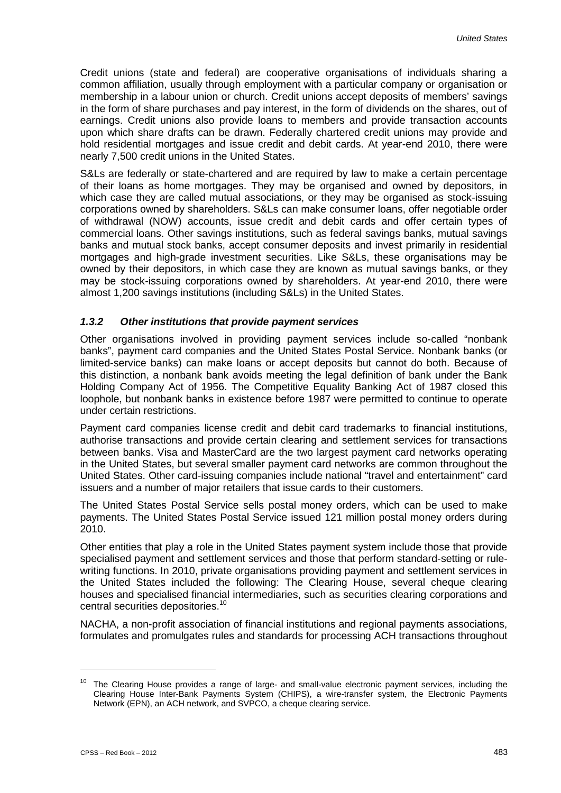Credit unions (state and federal) are cooperative organisations of individuals sharing a common affiliation, usually through employment with a particular company or organisation or membership in a labour union or church. Credit unions accept deposits of members' savings in the form of share purchases and pay interest, in the form of dividends on the shares, out of earnings. Credit unions also provide loans to members and provide transaction accounts upon which share drafts can be drawn. Federally chartered credit unions may provide and hold residential mortgages and issue credit and debit cards. At year-end 2010, there were nearly 7,500 credit unions in the United States.

S&Ls are federally or state-chartered and are required by law to make a certain percentage of their loans as home mortgages. They may be organised and owned by depositors, in which case they are called mutual associations, or they may be organised as stock-issuing corporations owned by shareholders. S&Ls can make consumer loans, offer negotiable order of withdrawal (NOW) accounts, issue credit and debit cards and offer certain types of commercial loans. Other savings institutions, such as federal savings banks, mutual savings banks and mutual stock banks, accept consumer deposits and invest primarily in residential mortgages and high-grade investment securities. Like S&Ls, these organisations may be owned by their depositors, in which case they are known as mutual savings banks, or they may be stock-issuing corporations owned by shareholders. At year-end 2010, there were almost 1,200 savings institutions (including S&Ls) in the United States.

#### *1.3.2 Other institutions that provide payment services*

Other organisations involved in providing payment services include so-called "nonbank banks", payment card companies and the United States Postal Service. Nonbank banks (or limited-service banks) can make loans or accept deposits but cannot do both. Because of this distinction, a nonbank bank avoids meeting the legal definition of bank under the Bank Holding Company Act of 1956. The Competitive Equality Banking Act of 1987 closed this loophole, but nonbank banks in existence before 1987 were permitted to continue to operate under certain restrictions.

Payment card companies license credit and debit card trademarks to financial institutions, authorise transactions and provide certain clearing and settlement services for transactions between banks. Visa and MasterCard are the two largest payment card networks operating in the United States, but several smaller payment card networks are common throughout the United States. Other card-issuing companies include national "travel and entertainment" card issuers and a number of major retailers that issue cards to their customers.

The United States Postal Service sells postal money orders, which can be used to make payments. The United States Postal Service issued 121 million postal money orders during 2010.

Other entities that play a role in the United States payment system include those that provide specialised payment and settlement services and those that perform standard-setting or rulewriting functions. In 2010, private organisations providing payment and settlement services in the United States included the following: The Clearing House, several cheque clearing houses and specialised financial intermediaries, such as securities clearing corporations and central securities depositories.<sup>10</sup>

NACHA, a non-profit association of financial institutions and regional payments associations, formulates and promulgates rules and standards for processing ACH transactions throughout

The Clearing House provides a range of large- and small-value electronic payment services, including the Clearing House Inter-Bank Payments System (CHIPS), a wire-transfer system, the Electronic Payments Network (EPN), an ACH network, and SVPCO, a cheque clearing service.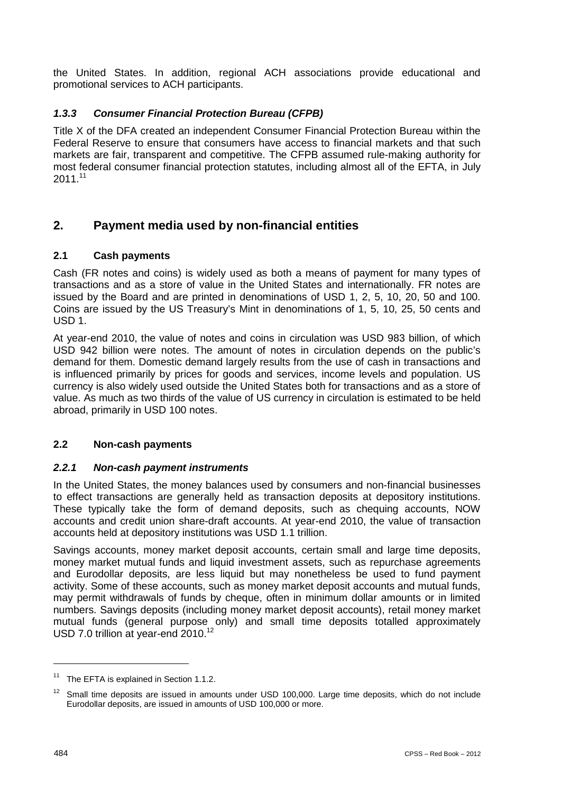the United States. In addition, regional ACH associations provide educational and promotional services to ACH participants.

# *1.3.3 Consumer Financial Protection Bureau (CFPB)*

Title X of the DFA created an independent Consumer Financial Protection Bureau within the Federal Reserve to ensure that consumers have access to financial markets and that such markets are fair, transparent and competitive. The CFPB assumed rule-making authority for most federal consumer financial protection statutes, including almost all of the EFTA, in July  $2011.<sup>11</sup>$ 

# **2. Payment media used by non-financial entities**

# **2.1 Cash payments**

Cash (FR notes and coins) is widely used as both a means of payment for many types of transactions and as a store of value in the United States and internationally. FR notes are issued by the Board and are printed in denominations of USD 1, 2, 5, 10, 20, 50 and 100. Coins are issued by the US Treasury's Mint in denominations of 1, 5, 10, 25, 50 cents and USD 1.

At year-end 2010, the value of notes and coins in circulation was USD 983 billion, of which USD 942 billion were notes. The amount of notes in circulation depends on the public's demand for them. Domestic demand largely results from the use of cash in transactions and is influenced primarily by prices for goods and services, income levels and population. US currency is also widely used outside the United States both for transactions and as a store of value. As much as two thirds of the value of US currency in circulation is estimated to be held abroad, primarily in USD 100 notes.

# **2.2 Non-cash payments**

### *2.2.1 Non-cash payment instruments*

In the United States, the money balances used by consumers and non-financial businesses to effect transactions are generally held as transaction deposits at depository institutions. These typically take the form of demand deposits, such as chequing accounts, NOW accounts and credit union share-draft accounts. At year-end 2010, the value of transaction accounts held at depository institutions was USD 1.1 trillion.

Savings accounts, money market deposit accounts, certain small and large time deposits, money market mutual funds and liquid investment assets, such as repurchase agreements and Eurodollar deposits, are less liquid but may nonetheless be used to fund payment activity. Some of these accounts, such as money market deposit accounts and mutual funds, may permit withdrawals of funds by cheque, often in minimum dollar amounts or in limited numbers. Savings deposits (including money market deposit accounts), retail money market mutual funds (general purpose only) and small time deposits totalled approximately USD 7.0 trillion at year-end 2010.<sup>12</sup>

The EFTA is explained in Section 1.1.2.

Small time deposits are issued in amounts under USD 100,000. Large time deposits, which do not include Eurodollar deposits, are issued in amounts of USD 100,000 or more.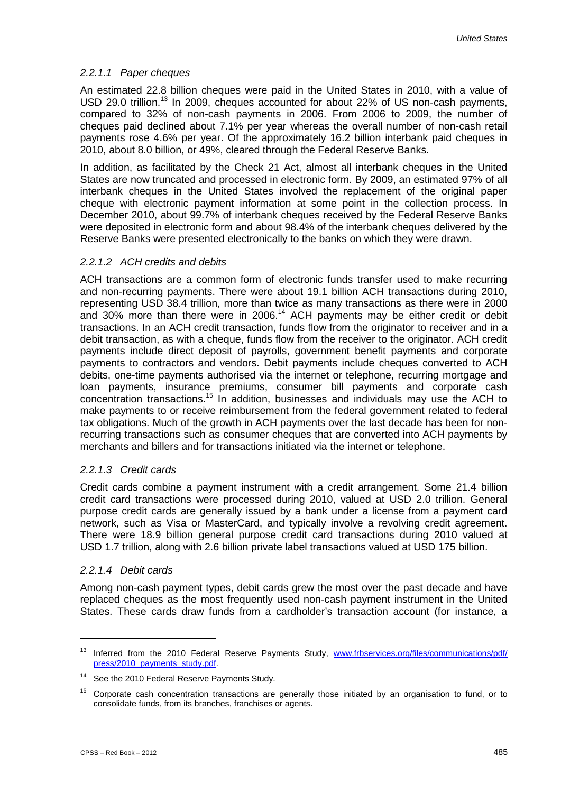#### *2.2.1.1 Paper cheques*

An estimated 22.8 billion cheques were paid in the United States in 2010, with a value of USD 29.0 trillion.<sup>13</sup> In 2009, cheques accounted for about 22% of US non-cash payments, compared to 32% of non-cash payments in 2006. From 2006 to 2009, the number of cheques paid declined about 7.1% per year whereas the overall number of non-cash retail payments rose 4.6% per year. Of the approximately 16.2 billion interbank paid cheques in 2010, about 8.0 billion, or 49%, cleared through the Federal Reserve Banks.

In addition, as facilitated by the Check 21 Act, almost all interbank cheques in the United States are now truncated and processed in electronic form. By 2009, an estimated 97% of all interbank cheques in the United States involved the replacement of the original paper cheque with electronic payment information at some point in the collection process. In December 2010, about 99.7% of interbank cheques received by the Federal Reserve Banks were deposited in electronic form and about 98.4% of the interbank cheques delivered by the Reserve Banks were presented electronically to the banks on which they were drawn.

#### *2.2.1.2 ACH credits and debits*

ACH transactions are a common form of electronic funds transfer used to make recurring and non-recurring payments. There were about 19.1 billion ACH transactions during 2010, representing USD 38.4 trillion, more than twice as many transactions as there were in 2000 and 30% more than there were in 2006.<sup>14</sup> ACH payments may be either credit or debit transactions. In an ACH credit transaction, funds flow from the originator to receiver and in a debit transaction, as with a cheque, funds flow from the receiver to the originator. ACH credit payments include direct deposit of payrolls, government benefit payments and corporate payments to contractors and vendors. Debit payments include cheques converted to ACH debits, one-time payments authorised via the internet or telephone, recurring mortgage and loan payments, insurance premiums, consumer bill payments and corporate cash concentration transactions.<sup>15</sup> In addition, businesses and individuals may use the ACH to make payments to or receive reimbursement from the federal government related to federal tax obligations. Much of the growth in ACH payments over the last decade has been for nonrecurring transactions such as consumer cheques that are converted into ACH payments by merchants and billers and for transactions initiated via the internet or telephone.

#### *2.2.1.3 Credit cards*

Credit cards combine a payment instrument with a credit arrangement. Some 21.4 billion credit card transactions were processed during 2010, valued at USD 2.0 trillion. General purpose credit cards are generally issued by a bank under a license from a payment card network, such as Visa or MasterCard, and typically involve a revolving credit agreement. There were 18.9 billion general purpose credit card transactions during 2010 valued at USD 1.7 trillion, along with 2.6 billion private label transactions valued at USD 175 billion.

#### *2.2.1.4 Debit cards*

-

Among non-cash payment types, debit cards grew the most over the past decade and have replaced cheques as the most frequently used non-cash payment instrument in the United States. These cards draw funds from a cardholder's transaction account (for instance, a

<sup>&</sup>lt;sup>13</sup> Inferred from the 2010 Federal Reserve Payments Study, www.frbservices.org/files/communications/pdf/ press/2010\_payments\_study.pdf.

<sup>&</sup>lt;sup>14</sup> See the 2010 Federal Reserve Payments Study.

<sup>&</sup>lt;sup>15</sup> Corporate cash concentration transactions are generally those initiated by an organisation to fund, or to consolidate funds, from its branches, franchises or agents.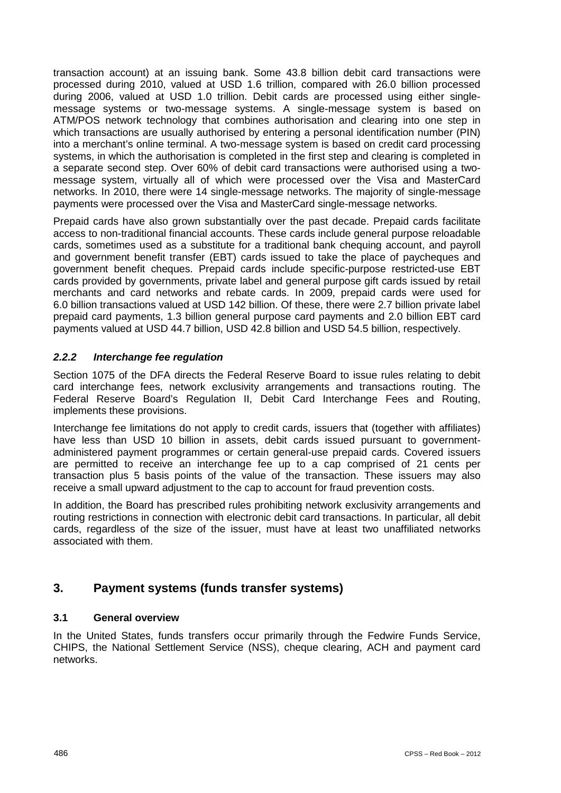transaction account) at an issuing bank. Some 43.8 billion debit card transactions were processed during 2010, valued at USD 1.6 trillion, compared with 26.0 billion processed during 2006, valued at USD 1.0 trillion. Debit cards are processed using either singlemessage systems or two-message systems. A single-message system is based on ATM/POS network technology that combines authorisation and clearing into one step in which transactions are usually authorised by entering a personal identification number (PIN) into a merchant's online terminal. A two-message system is based on credit card processing systems, in which the authorisation is completed in the first step and clearing is completed in a separate second step. Over 60% of debit card transactions were authorised using a twomessage system, virtually all of which were processed over the Visa and MasterCard networks. In 2010, there were 14 single-message networks. The majority of single-message payments were processed over the Visa and MasterCard single-message networks.

Prepaid cards have also grown substantially over the past decade. Prepaid cards facilitate access to non-traditional financial accounts. These cards include general purpose reloadable cards, sometimes used as a substitute for a traditional bank chequing account, and payroll and government benefit transfer (EBT) cards issued to take the place of paycheques and government benefit cheques. Prepaid cards include specific-purpose restricted-use EBT cards provided by governments, private label and general purpose gift cards issued by retail merchants and card networks and rebate cards. In 2009, prepaid cards were used for 6.0 billion transactions valued at USD 142 billion. Of these, there were 2.7 billion private label prepaid card payments, 1.3 billion general purpose card payments and 2.0 billion EBT card payments valued at USD 44.7 billion, USD 42.8 billion and USD 54.5 billion, respectively.

# *2.2.2 Interchange fee regulation*

Section 1075 of the DFA directs the Federal Reserve Board to issue rules relating to debit card interchange fees, network exclusivity arrangements and transactions routing. The Federal Reserve Board's Regulation II, Debit Card Interchange Fees and Routing, implements these provisions.

Interchange fee limitations do not apply to credit cards, issuers that (together with affiliates) have less than USD 10 billion in assets, debit cards issued pursuant to governmentadministered payment programmes or certain general-use prepaid cards. Covered issuers are permitted to receive an interchange fee up to a cap comprised of 21 cents per transaction plus 5 basis points of the value of the transaction. These issuers may also receive a small upward adjustment to the cap to account for fraud prevention costs.

In addition, the Board has prescribed rules prohibiting network exclusivity arrangements and routing restrictions in connection with electronic debit card transactions. In particular, all debit cards, regardless of the size of the issuer, must have at least two unaffiliated networks associated with them.

# **3. Payment systems (funds transfer systems)**

# **3.1 General overview**

In the United States, funds transfers occur primarily through the Fedwire Funds Service, CHIPS, the National Settlement Service (NSS), cheque clearing, ACH and payment card networks.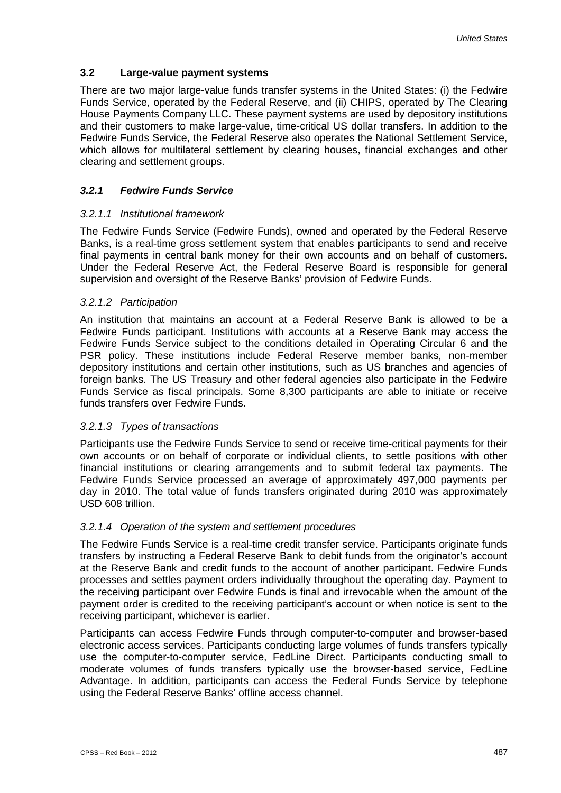# **3.2 Large-value payment systems**

There are two major large-value funds transfer systems in the United States: (i) the Fedwire Funds Service, operated by the Federal Reserve, and (ii) CHIPS, operated by The Clearing House Payments Company LLC. These payment systems are used by depository institutions and their customers to make large-value, time-critical US dollar transfers. In addition to the Fedwire Funds Service, the Federal Reserve also operates the National Settlement Service, which allows for multilateral settlement by clearing houses, financial exchanges and other clearing and settlement groups.

# *3.2.1 Fedwire Funds Service*

#### *3.2.1.1 Institutional framework*

The Fedwire Funds Service (Fedwire Funds), owned and operated by the Federal Reserve Banks, is a real-time gross settlement system that enables participants to send and receive final payments in central bank money for their own accounts and on behalf of customers. Under the Federal Reserve Act, the Federal Reserve Board is responsible for general supervision and oversight of the Reserve Banks' provision of Fedwire Funds.

#### *3.2.1.2 Participation*

An institution that maintains an account at a Federal Reserve Bank is allowed to be a Fedwire Funds participant. Institutions with accounts at a Reserve Bank may access the Fedwire Funds Service subject to the conditions detailed in Operating Circular 6 and the PSR policy. These institutions include Federal Reserve member banks, non-member depository institutions and certain other institutions, such as US branches and agencies of foreign banks. The US Treasury and other federal agencies also participate in the Fedwire Funds Service as fiscal principals. Some 8,300 participants are able to initiate or receive funds transfers over Fedwire Funds.

### *3.2.1.3 Types of transactions*

Participants use the Fedwire Funds Service to send or receive time-critical payments for their own accounts or on behalf of corporate or individual clients, to settle positions with other financial institutions or clearing arrangements and to submit federal tax payments. The Fedwire Funds Service processed an average of approximately 497,000 payments per day in 2010. The total value of funds transfers originated during 2010 was approximately USD 608 trillion.

#### *3.2.1.4 Operation of the system and settlement procedures*

The Fedwire Funds Service is a real-time credit transfer service. Participants originate funds transfers by instructing a Federal Reserve Bank to debit funds from the originator's account at the Reserve Bank and credit funds to the account of another participant. Fedwire Funds processes and settles payment orders individually throughout the operating day. Payment to the receiving participant over Fedwire Funds is final and irrevocable when the amount of the payment order is credited to the receiving participant's account or when notice is sent to the receiving participant, whichever is earlier.

Participants can access Fedwire Funds through computer-to-computer and browser-based electronic access services. Participants conducting large volumes of funds transfers typically use the computer-to-computer service, FedLine Direct. Participants conducting small to moderate volumes of funds transfers typically use the browser-based service, FedLine Advantage. In addition, participants can access the Federal Funds Service by telephone using the Federal Reserve Banks' offline access channel.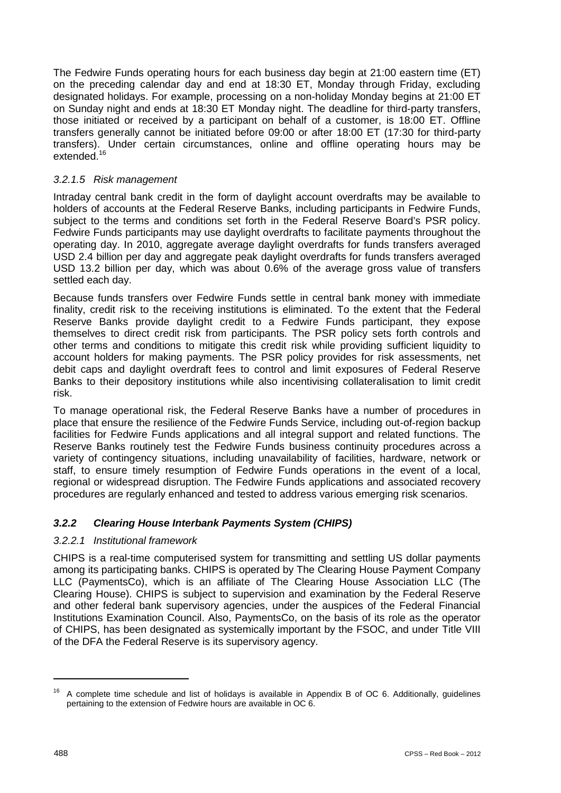The Fedwire Funds operating hours for each business day begin at 21:00 eastern time (ET) on the preceding calendar day and end at 18:30 ET, Monday through Friday, excluding designated holidays. For example, processing on a non-holiday Monday begins at 21:00 ET on Sunday night and ends at 18:30 ET Monday night. The deadline for third-party transfers, those initiated or received by a participant on behalf of a customer, is 18:00 ET. Offline transfers generally cannot be initiated before 09:00 or after 18:00 ET (17:30 for third-party transfers). Under certain circumstances, online and offline operating hours may be extended.<sup>16</sup>

# *3.2.1.5 Risk management*

Intraday central bank credit in the form of daylight account overdrafts may be available to holders of accounts at the Federal Reserve Banks, including participants in Fedwire Funds, subject to the terms and conditions set forth in the Federal Reserve Board's PSR policy. Fedwire Funds participants may use daylight overdrafts to facilitate payments throughout the operating day. In 2010, aggregate average daylight overdrafts for funds transfers averaged USD 2.4 billion per day and aggregate peak daylight overdrafts for funds transfers averaged USD 13.2 billion per day, which was about 0.6% of the average gross value of transfers settled each day.

Because funds transfers over Fedwire Funds settle in central bank money with immediate finality, credit risk to the receiving institutions is eliminated. To the extent that the Federal Reserve Banks provide daylight credit to a Fedwire Funds participant, they expose themselves to direct credit risk from participants. The PSR policy sets forth controls and other terms and conditions to mitigate this credit risk while providing sufficient liquidity to account holders for making payments. The PSR policy provides for risk assessments, net debit caps and daylight overdraft fees to control and limit exposures of Federal Reserve Banks to their depository institutions while also incentivising collateralisation to limit credit risk.

To manage operational risk, the Federal Reserve Banks have a number of procedures in place that ensure the resilience of the Fedwire Funds Service, including out-of-region backup facilities for Fedwire Funds applications and all integral support and related functions. The Reserve Banks routinely test the Fedwire Funds business continuity procedures across a variety of contingency situations, including unavailability of facilities, hardware, network or staff, to ensure timely resumption of Fedwire Funds operations in the event of a local, regional or widespread disruption. The Fedwire Funds applications and associated recovery procedures are regularly enhanced and tested to address various emerging risk scenarios.

# *3.2.2 Clearing House Interbank Payments System (CHIPS)*

### *3.2.2.1 Institutional framework*

CHIPS is a real-time computerised system for transmitting and settling US dollar payments among its participating banks. CHIPS is operated by The Clearing House Payment Company LLC (PaymentsCo), which is an affiliate of The Clearing House Association LLC (The Clearing House). CHIPS is subject to supervision and examination by the Federal Reserve and other federal bank supervisory agencies, under the auspices of the Federal Financial Institutions Examination Council. Also, PaymentsCo, on the basis of its role as the operator of CHIPS, has been designated as systemically important by the FSOC, and under Title VIII of the DFA the Federal Reserve is its supervisory agency.

 $16$  A complete time schedule and list of holidays is available in Appendix B of OC 6. Additionally, guidelines pertaining to the extension of Fedwire hours are available in OC 6.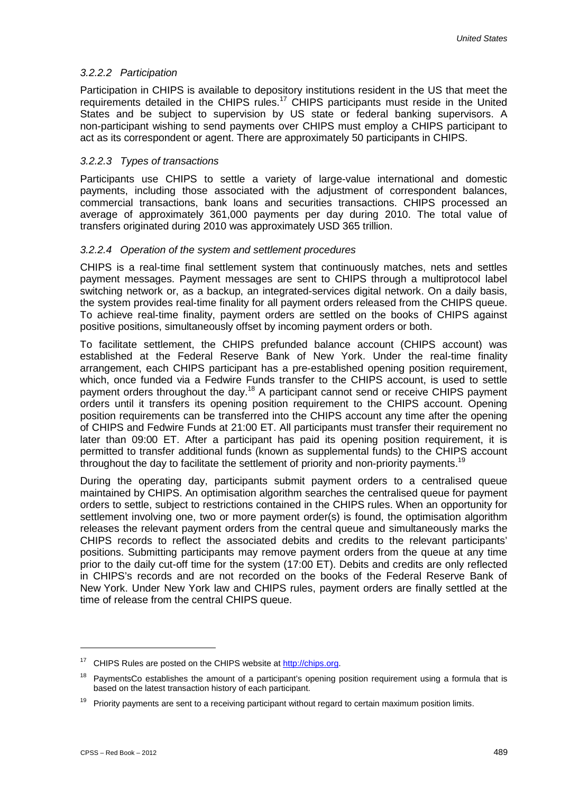#### *3.2.2.2 Participation*

Participation in CHIPS is available to depository institutions resident in the US that meet the requirements detailed in the CHIPS rules.<sup>17</sup> CHIPS participants must reside in the United States and be subject to supervision by US state or federal banking supervisors. A non-participant wishing to send payments over CHIPS must employ a CHIPS participant to act as its correspondent or agent. There are approximately 50 participants in CHIPS.

#### *3.2.2.3 Types of transactions*

Participants use CHIPS to settle a variety of large-value international and domestic payments, including those associated with the adjustment of correspondent balances, commercial transactions, bank loans and securities transactions. CHIPS processed an average of approximately 361,000 payments per day during 2010. The total value of transfers originated during 2010 was approximately USD 365 trillion.

#### *3.2.2.4 Operation of the system and settlement procedures*

CHIPS is a real-time final settlement system that continuously matches, nets and settles payment messages. Payment messages are sent to CHIPS through a multiprotocol label switching network or, as a backup, an integrated-services digital network. On a daily basis, the system provides real-time finality for all payment orders released from the CHIPS queue. To achieve real-time finality, payment orders are settled on the books of CHIPS against positive positions, simultaneously offset by incoming payment orders or both.

To facilitate settlement, the CHIPS prefunded balance account (CHIPS account) was established at the Federal Reserve Bank of New York. Under the real-time finality arrangement, each CHIPS participant has a pre-established opening position requirement, which, once funded via a Fedwire Funds transfer to the CHIPS account, is used to settle payment orders throughout the day.<sup>18</sup> A participant cannot send or receive CHIPS payment orders until it transfers its opening position requirement to the CHIPS account. Opening position requirements can be transferred into the CHIPS account any time after the opening of CHIPS and Fedwire Funds at 21:00 ET. All participants must transfer their requirement no later than 09:00 ET. After a participant has paid its opening position requirement, it is permitted to transfer additional funds (known as supplemental funds) to the CHIPS account throughout the day to facilitate the settlement of priority and non-priority payments.<sup>19</sup>

During the operating day, participants submit payment orders to a centralised queue maintained by CHIPS. An optimisation algorithm searches the centralised queue for payment orders to settle, subject to restrictions contained in the CHIPS rules. When an opportunity for settlement involving one, two or more payment order(s) is found, the optimisation algorithm releases the relevant payment orders from the central queue and simultaneously marks the CHIPS records to reflect the associated debits and credits to the relevant participants' positions. Submitting participants may remove payment orders from the queue at any time prior to the daily cut-off time for the system (17:00 ET). Debits and credits are only reflected in CHIPS's records and are not recorded on the books of the Federal Reserve Bank of New York. Under New York law and CHIPS rules, payment orders are finally settled at the time of release from the central CHIPS queue.

<sup>&</sup>lt;sup>17</sup> CHIPS Rules are posted on the CHIPS website at **http://chips.org.** 

<sup>&</sup>lt;sup>18</sup> PaymentsCo establishes the amount of a participant's opening position requirement using a formula that is based on the latest transaction history of each participant.

 $19$  Priority payments are sent to a receiving participant without regard to certain maximum position limits.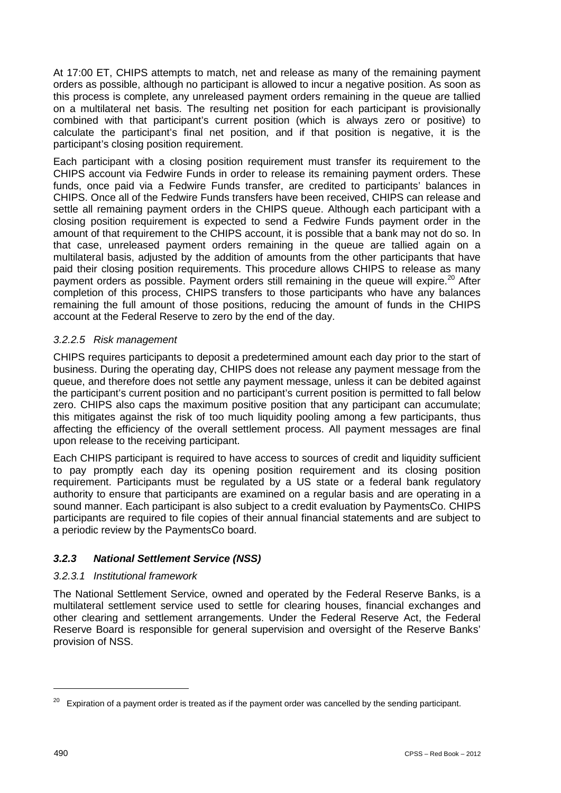At 17:00 ET, CHIPS attempts to match, net and release as many of the remaining payment orders as possible, although no participant is allowed to incur a negative position. As soon as this process is complete, any unreleased payment orders remaining in the queue are tallied on a multilateral net basis. The resulting net position for each participant is provisionally combined with that participant's current position (which is always zero or positive) to calculate the participant's final net position, and if that position is negative, it is the participant's closing position requirement.

Each participant with a closing position requirement must transfer its requirement to the CHIPS account via Fedwire Funds in order to release its remaining payment orders. These funds, once paid via a Fedwire Funds transfer, are credited to participants' balances in CHIPS. Once all of the Fedwire Funds transfers have been received, CHIPS can release and settle all remaining payment orders in the CHIPS queue. Although each participant with a closing position requirement is expected to send a Fedwire Funds payment order in the amount of that requirement to the CHIPS account, it is possible that a bank may not do so. In that case, unreleased payment orders remaining in the queue are tallied again on a multilateral basis, adjusted by the addition of amounts from the other participants that have paid their closing position requirements. This procedure allows CHIPS to release as many payment orders as possible. Payment orders still remaining in the queue will expire.<sup>20</sup> After completion of this process, CHIPS transfers to those participants who have any balances remaining the full amount of those positions, reducing the amount of funds in the CHIPS account at the Federal Reserve to zero by the end of the day.

### *3.2.2.5 Risk management*

CHIPS requires participants to deposit a predetermined amount each day prior to the start of business. During the operating day, CHIPS does not release any payment message from the queue, and therefore does not settle any payment message, unless it can be debited against the participant's current position and no participant's current position is permitted to fall below zero. CHIPS also caps the maximum positive position that any participant can accumulate; this mitigates against the risk of too much liquidity pooling among a few participants, thus affecting the efficiency of the overall settlement process. All payment messages are final upon release to the receiving participant.

Each CHIPS participant is required to have access to sources of credit and liquidity sufficient to pay promptly each day its opening position requirement and its closing position requirement. Participants must be regulated by a US state or a federal bank regulatory authority to ensure that participants are examined on a regular basis and are operating in a sound manner. Each participant is also subject to a credit evaluation by PaymentsCo. CHIPS participants are required to file copies of their annual financial statements and are subject to a periodic review by the PaymentsCo board.

### *3.2.3 National Settlement Service (NSS)*

### *3.2.3.1 Institutional framework*

The National Settlement Service, owned and operated by the Federal Reserve Banks, is a multilateral settlement service used to settle for clearing houses, financial exchanges and other clearing and settlement arrangements. Under the Federal Reserve Act, the Federal Reserve Board is responsible for general supervision and oversight of the Reserve Banks' provision of NSS.

 $20$  Expiration of a payment order is treated as if the payment order was cancelled by the sending participant.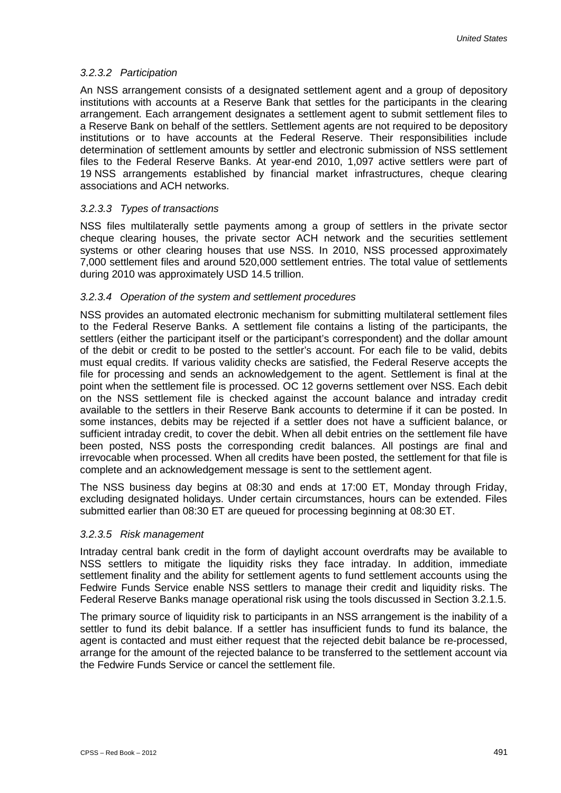#### *3.2.3.2 Participation*

An NSS arrangement consists of a designated settlement agent and a group of depository institutions with accounts at a Reserve Bank that settles for the participants in the clearing arrangement. Each arrangement designates a settlement agent to submit settlement files to a Reserve Bank on behalf of the settlers. Settlement agents are not required to be depository institutions or to have accounts at the Federal Reserve. Their responsibilities include determination of settlement amounts by settler and electronic submission of NSS settlement files to the Federal Reserve Banks. At year-end 2010, 1,097 active settlers were part of 19 NSS arrangements established by financial market infrastructures, cheque clearing associations and ACH networks.

### *3.2.3.3 Types of transactions*

NSS files multilaterally settle payments among a group of settlers in the private sector cheque clearing houses, the private sector ACH network and the securities settlement systems or other clearing houses that use NSS. In 2010, NSS processed approximately 7,000 settlement files and around 520,000 settlement entries. The total value of settlements during 2010 was approximately USD 14.5 trillion.

#### *3.2.3.4 Operation of the system and settlement procedures*

NSS provides an automated electronic mechanism for submitting multilateral settlement files to the Federal Reserve Banks. A settlement file contains a listing of the participants, the settlers (either the participant itself or the participant's correspondent) and the dollar amount of the debit or credit to be posted to the settler's account. For each file to be valid, debits must equal credits. If various validity checks are satisfied, the Federal Reserve accepts the file for processing and sends an acknowledgement to the agent. Settlement is final at the point when the settlement file is processed. OC 12 governs settlement over NSS. Each debit on the NSS settlement file is checked against the account balance and intraday credit available to the settlers in their Reserve Bank accounts to determine if it can be posted. In some instances, debits may be rejected if a settler does not have a sufficient balance, or sufficient intraday credit, to cover the debit. When all debit entries on the settlement file have been posted, NSS posts the corresponding credit balances. All postings are final and irrevocable when processed. When all credits have been posted, the settlement for that file is complete and an acknowledgement message is sent to the settlement agent.

The NSS business day begins at 08:30 and ends at 17:00 ET, Monday through Friday, excluding designated holidays. Under certain circumstances, hours can be extended. Files submitted earlier than 08:30 ET are queued for processing beginning at 08:30 ET.

#### *3.2.3.5 Risk management*

Intraday central bank credit in the form of daylight account overdrafts may be available to NSS settlers to mitigate the liquidity risks they face intraday. In addition, immediate settlement finality and the ability for settlement agents to fund settlement accounts using the Fedwire Funds Service enable NSS settlers to manage their credit and liquidity risks. The Federal Reserve Banks manage operational risk using the tools discussed in Section 3.2.1.5.

The primary source of liquidity risk to participants in an NSS arrangement is the inability of a settler to fund its debit balance. If a settler has insufficient funds to fund its balance, the agent is contacted and must either request that the rejected debit balance be re-processed, arrange for the amount of the rejected balance to be transferred to the settlement account via the Fedwire Funds Service or cancel the settlement file.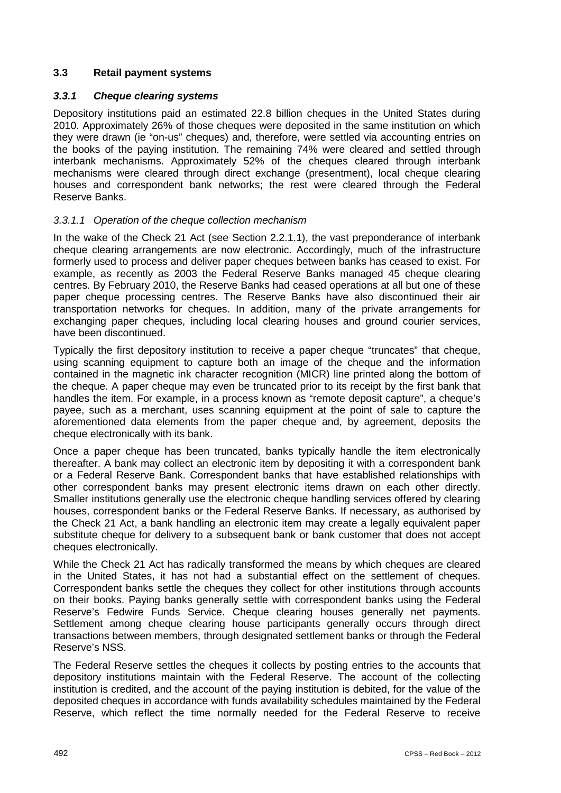# **3.3 Retail payment systems**

# *3.3.1 Cheque clearing systems*

Depository institutions paid an estimated 22.8 billion cheques in the United States during 2010. Approximately 26% of those cheques were deposited in the same institution on which they were drawn (ie "on-us" cheques) and, therefore, were settled via accounting entries on the books of the paying institution. The remaining 74% were cleared and settled through interbank mechanisms. Approximately 52% of the cheques cleared through interbank mechanisms were cleared through direct exchange (presentment), local cheque clearing houses and correspondent bank networks; the rest were cleared through the Federal Reserve Banks.

### *3.3.1.1 Operation of the cheque collection mechanism*

In the wake of the Check 21 Act (see Section 2.2.1.1), the vast preponderance of interbank cheque clearing arrangements are now electronic. Accordingly, much of the infrastructure formerly used to process and deliver paper cheques between banks has ceased to exist. For example, as recently as 2003 the Federal Reserve Banks managed 45 cheque clearing centres. By February 2010, the Reserve Banks had ceased operations at all but one of these paper cheque processing centres. The Reserve Banks have also discontinued their air transportation networks for cheques. In addition, many of the private arrangements for exchanging paper cheques, including local clearing houses and ground courier services, have been discontinued.

Typically the first depository institution to receive a paper cheque "truncates" that cheque, using scanning equipment to capture both an image of the cheque and the information contained in the magnetic ink character recognition (MICR) line printed along the bottom of the cheque. A paper cheque may even be truncated prior to its receipt by the first bank that handles the item. For example, in a process known as "remote deposit capture", a cheque's payee, such as a merchant, uses scanning equipment at the point of sale to capture the aforementioned data elements from the paper cheque and, by agreement, deposits the cheque electronically with its bank.

Once a paper cheque has been truncated, banks typically handle the item electronically thereafter. A bank may collect an electronic item by depositing it with a correspondent bank or a Federal Reserve Bank. Correspondent banks that have established relationships with other correspondent banks may present electronic items drawn on each other directly. Smaller institutions generally use the electronic cheque handling services offered by clearing houses, correspondent banks or the Federal Reserve Banks. If necessary, as authorised by the Check 21 Act, a bank handling an electronic item may create a legally equivalent paper substitute cheque for delivery to a subsequent bank or bank customer that does not accept cheques electronically.

While the Check 21 Act has radically transformed the means by which cheques are cleared in the United States, it has not had a substantial effect on the settlement of cheques. Correspondent banks settle the cheques they collect for other institutions through accounts on their books. Paying banks generally settle with correspondent banks using the Federal Reserve's Fedwire Funds Service. Cheque clearing houses generally net payments. Settlement among cheque clearing house participants generally occurs through direct transactions between members, through designated settlement banks or through the Federal Reserve's NSS.

The Federal Reserve settles the cheques it collects by posting entries to the accounts that depository institutions maintain with the Federal Reserve. The account of the collecting institution is credited, and the account of the paying institution is debited, for the value of the deposited cheques in accordance with funds availability schedules maintained by the Federal Reserve, which reflect the time normally needed for the Federal Reserve to receive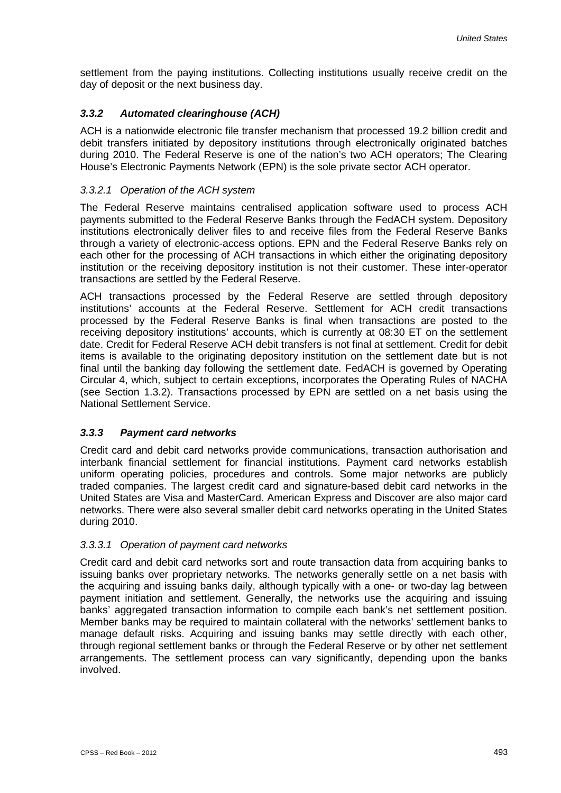settlement from the paying institutions. Collecting institutions usually receive credit on the day of deposit or the next business day.

# *3.3.2 Automated clearinghouse (ACH)*

ACH is a nationwide electronic file transfer mechanism that processed 19.2 billion credit and debit transfers initiated by depository institutions through electronically originated batches during 2010. The Federal Reserve is one of the nation's two ACH operators; The Clearing House's Electronic Payments Network (EPN) is the sole private sector ACH operator.

#### *3.3.2.1 Operation of the ACH system*

The Federal Reserve maintains centralised application software used to process ACH payments submitted to the Federal Reserve Banks through the FedACH system. Depository institutions electronically deliver files to and receive files from the Federal Reserve Banks through a variety of electronic-access options. EPN and the Federal Reserve Banks rely on each other for the processing of ACH transactions in which either the originating depository institution or the receiving depository institution is not their customer. These inter-operator transactions are settled by the Federal Reserve.

ACH transactions processed by the Federal Reserve are settled through depository institutions' accounts at the Federal Reserve. Settlement for ACH credit transactions processed by the Federal Reserve Banks is final when transactions are posted to the receiving depository institutions' accounts, which is currently at 08:30 ET on the settlement date. Credit for Federal Reserve ACH debit transfers is not final at settlement. Credit for debit items is available to the originating depository institution on the settlement date but is not final until the banking day following the settlement date. FedACH is governed by Operating Circular 4, which, subject to certain exceptions, incorporates the Operating Rules of NACHA (see Section 1.3.2). Transactions processed by EPN are settled on a net basis using the National Settlement Service.

### *3.3.3 Payment card networks*

Credit card and debit card networks provide communications, transaction authorisation and interbank financial settlement for financial institutions. Payment card networks establish uniform operating policies, procedures and controls. Some major networks are publicly traded companies. The largest credit card and signature-based debit card networks in the United States are Visa and MasterCard. American Express and Discover are also major card networks. There were also several smaller debit card networks operating in the United States during 2010.

#### *3.3.3.1 Operation of payment card networks*

Credit card and debit card networks sort and route transaction data from acquiring banks to issuing banks over proprietary networks. The networks generally settle on a net basis with the acquiring and issuing banks daily, although typically with a one- or two-day lag between payment initiation and settlement. Generally, the networks use the acquiring and issuing banks' aggregated transaction information to compile each bank's net settlement position. Member banks may be required to maintain collateral with the networks' settlement banks to manage default risks. Acquiring and issuing banks may settle directly with each other, through regional settlement banks or through the Federal Reserve or by other net settlement arrangements. The settlement process can vary significantly, depending upon the banks involved.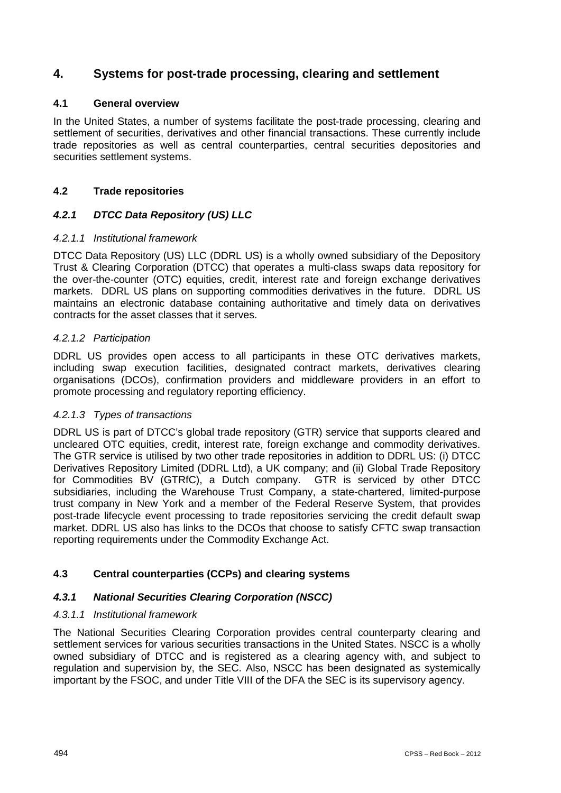# **4. Systems for post-trade processing, clearing and settlement**

# **4.1 General overview**

In the United States, a number of systems facilitate the post-trade processing, clearing and settlement of securities, derivatives and other financial transactions. These currently include trade repositories as well as central counterparties, central securities depositories and securities settlement systems.

# **4.2 Trade repositories**

# *4.2.1 DTCC Data Repository (US) LLC*

### *4.2.1.1 Institutional framework*

DTCC Data Repository (US) LLC (DDRL US) is a wholly owned subsidiary of the Depository Trust & Clearing Corporation (DTCC) that operates a multi-class swaps data repository for the over-the-counter (OTC) equities, credit, interest rate and foreign exchange derivatives markets. DDRL US plans on supporting commodities derivatives in the future. DDRL US maintains an electronic database containing authoritative and timely data on derivatives contracts for the asset classes that it serves.

#### *4.2.1.2 Participation*

DDRL US provides open access to all participants in these OTC derivatives markets, including swap execution facilities, designated contract markets, derivatives clearing organisations (DCOs), confirmation providers and middleware providers in an effort to promote processing and regulatory reporting efficiency.

### *4.2.1.3 Types of transactions*

DDRL US is part of DTCC's global trade repository (GTR) service that supports cleared and uncleared OTC equities, credit, interest rate, foreign exchange and commodity derivatives. The GTR service is utilised by two other trade repositories in addition to DDRL US: (i) DTCC Derivatives Repository Limited (DDRL Ltd), a UK company; and (ii) Global Trade Repository for Commodities BV (GTRfC), a Dutch company. GTR is serviced by other DTCC subsidiaries, including the Warehouse Trust Company, a state-chartered, limited-purpose trust company in New York and a member of the Federal Reserve System, that provides post-trade lifecycle event processing to trade repositories servicing the credit default swap market. DDRL US also has links to the DCOs that choose to satisfy CFTC swap transaction reporting requirements under the Commodity Exchange Act.

### **4.3 Central counterparties (CCPs) and clearing systems**

### *4.3.1 National Securities Clearing Corporation (NSCC)*

### *4.3.1.1 Institutional framework*

The National Securities Clearing Corporation provides central counterparty clearing and settlement services for various securities transactions in the United States. NSCC is a wholly owned subsidiary of DTCC and is registered as a clearing agency with, and subject to regulation and supervision by, the SEC. Also, NSCC has been designated as systemically important by the FSOC, and under Title VIII of the DFA the SEC is its supervisory agency.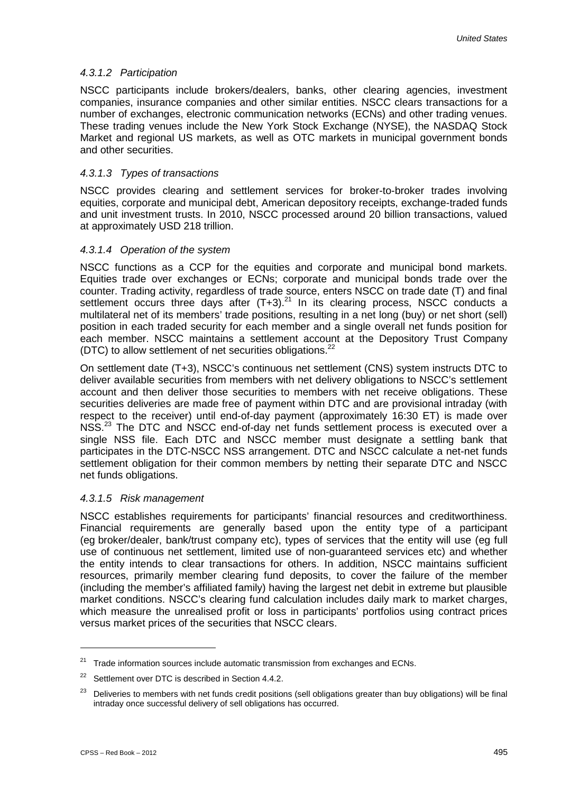#### *4.3.1.2 Participation*

NSCC participants include brokers/dealers, banks, other clearing agencies, investment companies, insurance companies and other similar entities. NSCC clears transactions for a number of exchanges, electronic communication networks (ECNs) and other trading venues. These trading venues include the New York Stock Exchange (NYSE), the NASDAQ Stock Market and regional US markets, as well as OTC markets in municipal government bonds and other securities.

#### *4.3.1.3 Types of transactions*

NSCC provides clearing and settlement services for broker-to-broker trades involving equities, corporate and municipal debt, American depository receipts, exchange-traded funds and unit investment trusts. In 2010, NSCC processed around 20 billion transactions, valued at approximately USD 218 trillion.

#### *4.3.1.4 Operation of the system*

NSCC functions as a CCP for the equities and corporate and municipal bond markets. Equities trade over exchanges or ECNs; corporate and municipal bonds trade over the counter. Trading activity, regardless of trade source, enters NSCC on trade date (T) and final settlement occurs three days after  $(T+3)$ .<sup>21</sup> In its clearing process, NSCC conducts a multilateral net of its members' trade positions, resulting in a net long (buy) or net short (sell) position in each traded security for each member and a single overall net funds position for each member. NSCC maintains a settlement account at the Depository Trust Company (DTC) to allow settlement of net securities obligations.<sup>22</sup>

On settlement date (T+3), NSCC's continuous net settlement (CNS) system instructs DTC to deliver available securities from members with net delivery obligations to NSCC's settlement account and then deliver those securities to members with net receive obligations. These securities deliveries are made free of payment within DTC and are provisional intraday (with respect to the receiver) until end-of-day payment (approximately 16:30 ET) is made over NSS.<sup>23</sup> The DTC and NSCC end-of-day net funds settlement process is executed over a single NSS file. Each DTC and NSCC member must designate a settling bank that participates in the DTC-NSCC NSS arrangement. DTC and NSCC calculate a net-net funds settlement obligation for their common members by netting their separate DTC and NSCC net funds obligations.

#### *4.3.1.5 Risk management*

NSCC establishes requirements for participants' financial resources and creditworthiness. Financial requirements are generally based upon the entity type of a participant (eg broker/dealer, bank/trust company etc), types of services that the entity will use (eg full use of continuous net settlement, limited use of non-guaranteed services etc) and whether the entity intends to clear transactions for others. In addition, NSCC maintains sufficient resources, primarily member clearing fund deposits, to cover the failure of the member (including the member's affiliated family) having the largest net debit in extreme but plausible market conditions. NSCC's clearing fund calculation includes daily mark to market charges, which measure the unrealised profit or loss in participants' portfolios using contract prices versus market prices of the securities that NSCC clears.

 $21$  Trade information sources include automatic transmission from exchanges and ECNs.

<sup>&</sup>lt;sup>22</sup> Settlement over DTC is described in Section 4.4.2.

<sup>&</sup>lt;sup>23</sup> Deliveries to members with net funds credit positions (sell obligations greater than buy obligations) will be final intraday once successful delivery of sell obligations has occurred.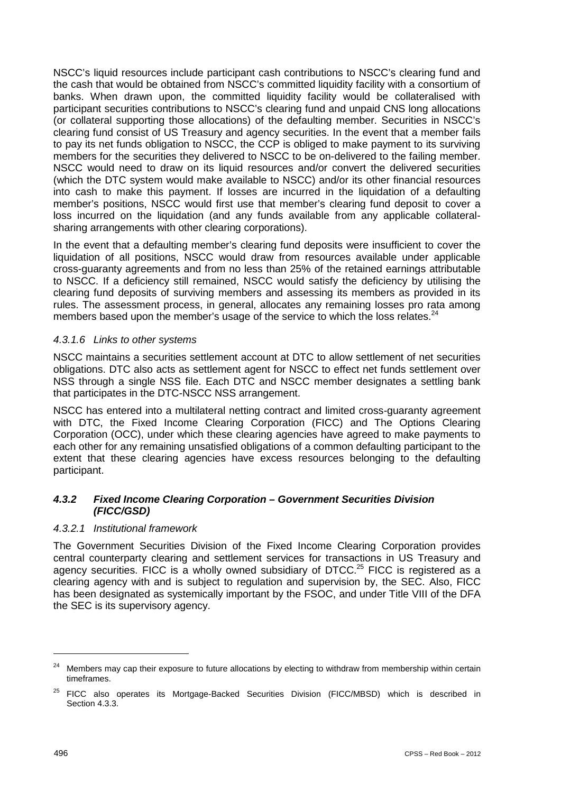NSCC's liquid resources include participant cash contributions to NSCC's clearing fund and the cash that would be obtained from NSCC's committed liquidity facility with a consortium of banks. When drawn upon, the committed liquidity facility would be collateralised with participant securities contributions to NSCC's clearing fund and unpaid CNS long allocations (or collateral supporting those allocations) of the defaulting member. Securities in NSCC's clearing fund consist of US Treasury and agency securities. In the event that a member fails to pay its net funds obligation to NSCC, the CCP is obliged to make payment to its surviving members for the securities they delivered to NSCC to be on-delivered to the failing member. NSCC would need to draw on its liquid resources and/or convert the delivered securities (which the DTC system would make available to NSCC) and/or its other financial resources into cash to make this payment. If losses are incurred in the liquidation of a defaulting member's positions, NSCC would first use that member's clearing fund deposit to cover a loss incurred on the liquidation (and any funds available from any applicable collateralsharing arrangements with other clearing corporations).

In the event that a defaulting member's clearing fund deposits were insufficient to cover the liquidation of all positions, NSCC would draw from resources available under applicable cross-guaranty agreements and from no less than 25% of the retained earnings attributable to NSCC. If a deficiency still remained, NSCC would satisfy the deficiency by utilising the clearing fund deposits of surviving members and assessing its members as provided in its rules. The assessment process, in general, allocates any remaining losses pro rata among members based upon the member's usage of the service to which the loss relates. $24$ 

#### *4.3.1.6 Links to other systems*

NSCC maintains a securities settlement account at DTC to allow settlement of net securities obligations. DTC also acts as settlement agent for NSCC to effect net funds settlement over NSS through a single NSS file. Each DTC and NSCC member designates a settling bank that participates in the DTC-NSCC NSS arrangement.

NSCC has entered into a multilateral netting contract and limited cross-guaranty agreement with DTC, the Fixed Income Clearing Corporation (FICC) and The Options Clearing Corporation (OCC), under which these clearing agencies have agreed to make payments to each other for any remaining unsatisfied obligations of a common defaulting participant to the extent that these clearing agencies have excess resources belonging to the defaulting participant.

# *4.3.2 Fixed Income Clearing Corporation – Government Securities Division (FICC/GSD)*

#### *4.3.2.1 Institutional framework*

The Government Securities Division of the Fixed Income Clearing Corporation provides central counterparty clearing and settlement services for transactions in US Treasury and agency securities. FICC is a wholly owned subsidiary of DTCC.<sup>25</sup> FICC is registered as a clearing agency with and is subject to regulation and supervision by, the SEC. Also, FICC has been designated as systemically important by the FSOC, and under Title VIII of the DFA the SEC is its supervisory agency.

<sup>&</sup>lt;sup>24</sup> Members may cap their exposure to future allocations by electing to withdraw from membership within certain timeframes.

 $25$  FICC also operates its Mortgage-Backed Securities Division (FICC/MBSD) which is described in Section 4.3.3.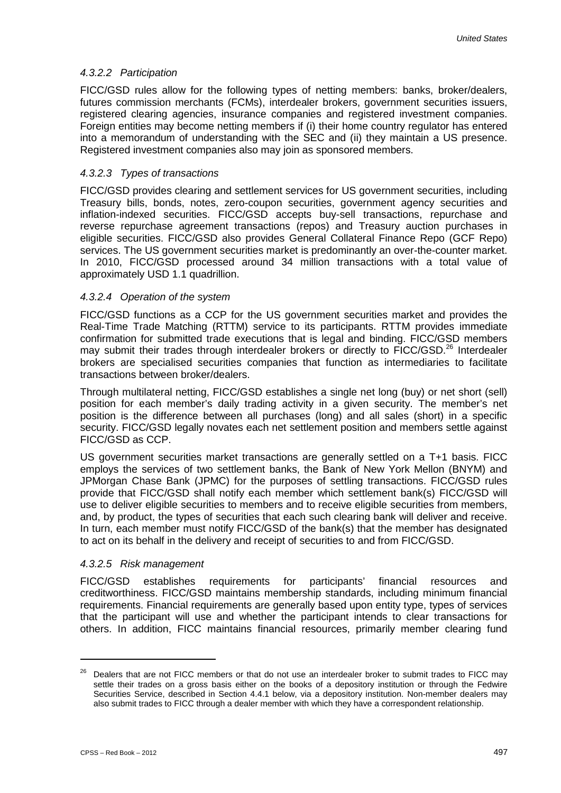#### *4.3.2.2 Participation*

FICC/GSD rules allow for the following types of netting members: banks, broker/dealers, futures commission merchants (FCMs), interdealer brokers, government securities issuers, registered clearing agencies, insurance companies and registered investment companies. Foreign entities may become netting members if (i) their home country regulator has entered into a memorandum of understanding with the SEC and (ii) they maintain a US presence. Registered investment companies also may join as sponsored members.

#### *4.3.2.3 Types of transactions*

FICC/GSD provides clearing and settlement services for US government securities, including Treasury bills, bonds, notes, zero-coupon securities, government agency securities and inflation-indexed securities. FICC/GSD accepts buy-sell transactions, repurchase and reverse repurchase agreement transactions (repos) and Treasury auction purchases in eligible securities. FICC/GSD also provides General Collateral Finance Repo (GCF Repo) services. The US government securities market is predominantly an over-the-counter market. In 2010, FICC/GSD processed around 34 million transactions with a total value of approximately USD 1.1 quadrillion.

#### *4.3.2.4 Operation of the system*

FICC/GSD functions as a CCP for the US government securities market and provides the Real-Time Trade Matching (RTTM) service to its participants. RTTM provides immediate confirmation for submitted trade executions that is legal and binding. FICC/GSD members may submit their trades through interdealer brokers or directly to FICC/GSD.<sup>26</sup> Interdealer brokers are specialised securities companies that function as intermediaries to facilitate transactions between broker/dealers.

Through multilateral netting, FICC/GSD establishes a single net long (buy) or net short (sell) position for each member's daily trading activity in a given security. The member's net position is the difference between all purchases (long) and all sales (short) in a specific security. FICC/GSD legally novates each net settlement position and members settle against FICC/GSD as CCP.

US government securities market transactions are generally settled on a T+1 basis. FICC employs the services of two settlement banks, the Bank of New York Mellon (BNYM) and JPMorgan Chase Bank (JPMC) for the purposes of settling transactions. FICC/GSD rules provide that FICC/GSD shall notify each member which settlement bank(s) FICC/GSD will use to deliver eligible securities to members and to receive eligible securities from members, and, by product, the types of securities that each such clearing bank will deliver and receive. In turn, each member must notify FICC/GSD of the bank(s) that the member has designated to act on its behalf in the delivery and receipt of securities to and from FICC/GSD.

#### *4.3.2.5 Risk management*

FICC/GSD establishes requirements for participants' financial resources and creditworthiness. FICC/GSD maintains membership standards, including minimum financial requirements. Financial requirements are generally based upon entity type, types of services that the participant will use and whether the participant intends to clear transactions for others. In addition, FICC maintains financial resources, primarily member clearing fund

<sup>&</sup>lt;sup>26</sup> Dealers that are not FICC members or that do not use an interdealer broker to submit trades to FICC may settle their trades on a gross basis either on the books of a depository institution or through the Fedwire Securities Service, described in Section 4.4.1 below, via a depository institution. Non-member dealers may also submit trades to FICC through a dealer member with which they have a correspondent relationship.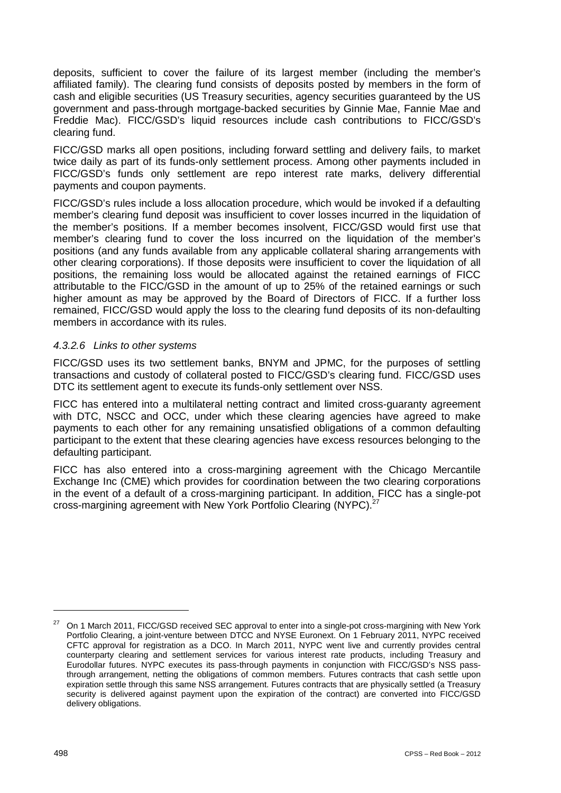deposits, sufficient to cover the failure of its largest member (including the member's affiliated family). The clearing fund consists of deposits posted by members in the form of cash and eligible securities (US Treasury securities, agency securities guaranteed by the US government and pass-through mortgage-backed securities by Ginnie Mae, Fannie Mae and Freddie Mac). FICC/GSD's liquid resources include cash contributions to FICC/GSD's clearing fund.

FICC/GSD marks all open positions, including forward settling and delivery fails, to market twice daily as part of its funds-only settlement process. Among other payments included in FICC/GSD's funds only settlement are repo interest rate marks, delivery differential payments and coupon payments.

FICC/GSD's rules include a loss allocation procedure, which would be invoked if a defaulting member's clearing fund deposit was insufficient to cover losses incurred in the liquidation of the member's positions. If a member becomes insolvent, FICC/GSD would first use that member's clearing fund to cover the loss incurred on the liquidation of the member's positions (and any funds available from any applicable collateral sharing arrangements with other clearing corporations). If those deposits were insufficient to cover the liquidation of all positions, the remaining loss would be allocated against the retained earnings of FICC attributable to the FICC/GSD in the amount of up to 25% of the retained earnings or such higher amount as may be approved by the Board of Directors of FICC. If a further loss remained, FICC/GSD would apply the loss to the clearing fund deposits of its non-defaulting members in accordance with its rules.

#### *4.3.2.6 Links to other systems*

FICC/GSD uses its two settlement banks, BNYM and JPMC, for the purposes of settling transactions and custody of collateral posted to FICC/GSD's clearing fund. FICC/GSD uses DTC its settlement agent to execute its funds-only settlement over NSS.

FICC has entered into a multilateral netting contract and limited cross-guaranty agreement with DTC, NSCC and OCC, under which these clearing agencies have agreed to make payments to each other for any remaining unsatisfied obligations of a common defaulting participant to the extent that these clearing agencies have excess resources belonging to the defaulting participant.

FICC has also entered into a cross-margining agreement with the Chicago Mercantile Exchange Inc (CME) which provides for coordination between the two clearing corporations in the event of a default of a cross-margining participant. In addition, FICC has a single-pot cross-margining agreement with New York Portfolio Clearing (NYPC).<sup>27</sup>

<sup>&</sup>lt;sup>27</sup> On 1 March 2011, FICC/GSD received SEC approval to enter into a single-pot cross-margining with New York Portfolio Clearing, a joint-venture between DTCC and NYSE Euronext. On 1 February 2011, NYPC received CFTC approval for registration as a DCO. In March 2011, NYPC went live and currently provides central counterparty clearing and settlement services for various interest rate products, including Treasury and Eurodollar futures. NYPC executes its pass-through payments in conjunction with FICC/GSD's NSS passthrough arrangement, netting the obligations of common members. Futures contracts that cash settle upon expiration settle through this same NSS arrangement. Futures contracts that are physically settled (a Treasury security is delivered against payment upon the expiration of the contract) are converted into FICC/GSD delivery obligations.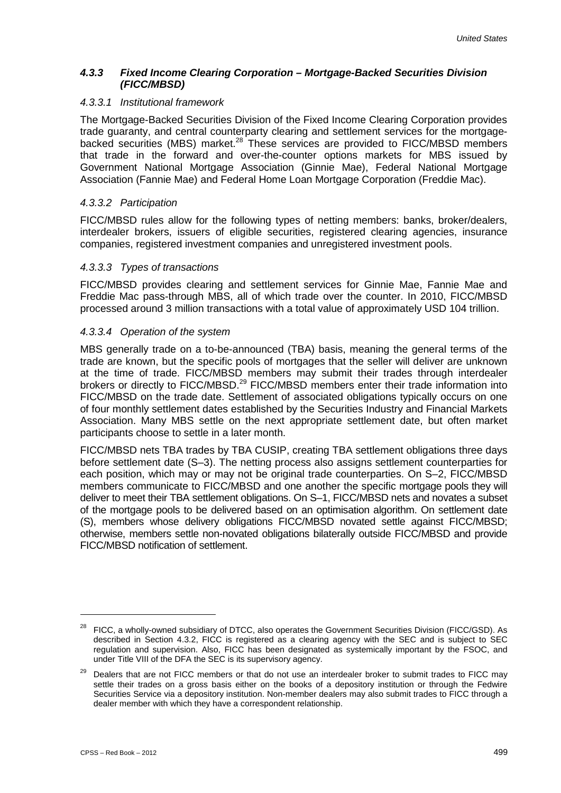#### *4.3.3 Fixed Income Clearing Corporation – Mortgage-Backed Securities Division (FICC/MBSD)*

#### *4.3.3.1 Institutional framework*

The Mortgage-Backed Securities Division of the Fixed Income Clearing Corporation provides trade guaranty, and central counterparty clearing and settlement services for the mortgagebacked securities (MBS) market.<sup>28</sup> These services are provided to FICC/MBSD members that trade in the forward and over-the-counter options markets for MBS issued by Government National Mortgage Association (Ginnie Mae), Federal National Mortgage Association (Fannie Mae) and Federal Home Loan Mortgage Corporation (Freddie Mac).

#### *4.3.3.2 Participation*

FICC/MBSD rules allow for the following types of netting members: banks, broker/dealers, interdealer brokers, issuers of eligible securities, registered clearing agencies, insurance companies, registered investment companies and unregistered investment pools.

#### *4.3.3.3 Types of transactions*

FICC/MBSD provides clearing and settlement services for Ginnie Mae, Fannie Mae and Freddie Mac pass-through MBS, all of which trade over the counter. In 2010, FICC/MBSD processed around 3 million transactions with a total value of approximately USD 104 trillion.

#### *4.3.3.4 Operation of the system*

MBS generally trade on a to-be-announced (TBA) basis, meaning the general terms of the trade are known, but the specific pools of mortgages that the seller will deliver are unknown at the time of trade. FICC/MBSD members may submit their trades through interdealer brokers or directly to FICC/MBSD.<sup>29</sup> FICC/MBSD members enter their trade information into FICC/MBSD on the trade date. Settlement of associated obligations typically occurs on one of four monthly settlement dates established by the Securities Industry and Financial Markets Association. Many MBS settle on the next appropriate settlement date, but often market participants choose to settle in a later month.

FICC/MBSD nets TBA trades by TBA CUSIP, creating TBA settlement obligations three days before settlement date (S–3). The netting process also assigns settlement counterparties for each position, which may or may not be original trade counterparties. On S–2, FICC/MBSD members communicate to FICC/MBSD and one another the specific mortgage pools they will deliver to meet their TBA settlement obligations. On S–1, FICC/MBSD nets and novates a subset of the mortgage pools to be delivered based on an optimisation algorithm. On settlement date (S), members whose delivery obligations FICC/MBSD novated settle against FICC/MBSD; otherwise, members settle non-novated obligations bilaterally outside FICC/MBSD and provide FICC/MBSD notification of settlement.

<sup>&</sup>lt;sup>28</sup> FICC, a wholly-owned subsidiary of DTCC, also operates the Government Securities Division (FICC/GSD). As described in Section 4.3.2, FICC is registered as a clearing agency with the SEC and is subject to SEC regulation and supervision. Also, FICC has been designated as systemically important by the FSOC, and under Title VIII of the DFA the SEC is its supervisory agency.

<sup>&</sup>lt;sup>29</sup> Dealers that are not FICC members or that do not use an interdealer broker to submit trades to FICC may settle their trades on a gross basis either on the books of a depository institution or through the Fedwire Securities Service via a depository institution. Non-member dealers may also submit trades to FICC through a dealer member with which they have a correspondent relationship.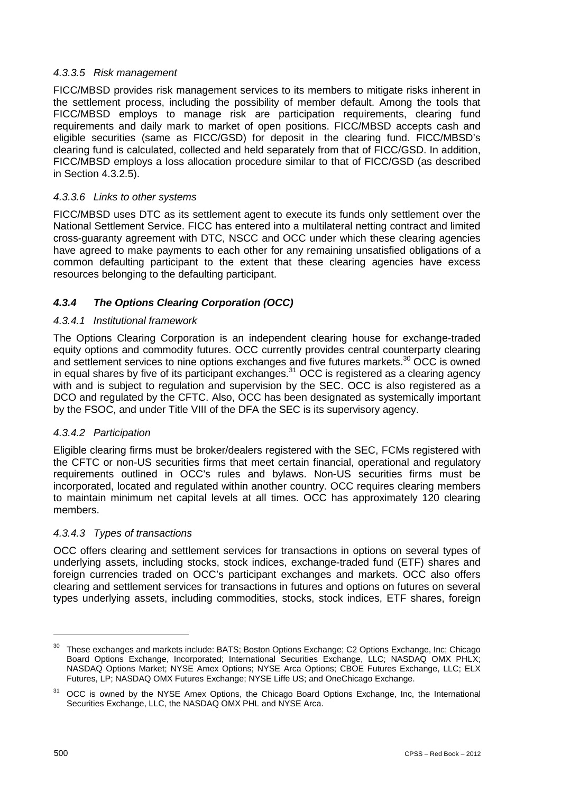# *4.3.3.5 Risk management*

FICC/MBSD provides risk management services to its members to mitigate risks inherent in the settlement process, including the possibility of member default. Among the tools that FICC/MBSD employs to manage risk are participation requirements, clearing fund requirements and daily mark to market of open positions. FICC/MBSD accepts cash and eligible securities (same as FICC/GSD) for deposit in the clearing fund. FICC/MBSD's clearing fund is calculated, collected and held separately from that of FICC/GSD. In addition, FICC/MBSD employs a loss allocation procedure similar to that of FICC/GSD (as described in Section 4.3.2.5).

# *4.3.3.6 Links to other systems*

FICC/MBSD uses DTC as its settlement agent to execute its funds only settlement over the National Settlement Service. FICC has entered into a multilateral netting contract and limited cross-guaranty agreement with DTC, NSCC and OCC under which these clearing agencies have agreed to make payments to each other for any remaining unsatisfied obligations of a common defaulting participant to the extent that these clearing agencies have excess resources belonging to the defaulting participant.

# *4.3.4 The Options Clearing Corporation (OCC)*

# *4.3.4.1 Institutional framework*

The Options Clearing Corporation is an independent clearing house for exchange-traded equity options and commodity futures. OCC currently provides central counterparty clearing and settlement services to nine options exchanges and five futures markets.<sup>30</sup> OCC is owned in equal shares by five of its participant exchanges.<sup>31</sup> OCC is registered as a clearing agency with and is subject to regulation and supervision by the SEC. OCC is also registered as a DCO and regulated by the CFTC. Also, OCC has been designated as systemically important by the FSOC, and under Title VIII of the DFA the SEC is its supervisory agency.

# *4.3.4.2 Participation*

Eligible clearing firms must be broker/dealers registered with the SEC, FCMs registered with the CFTC or non-US securities firms that meet certain financial, operational and regulatory requirements outlined in OCC's rules and bylaws. Non-US securities firms must be incorporated, located and regulated within another country. OCC requires clearing members to maintain minimum net capital levels at all times. OCC has approximately 120 clearing members.

### *4.3.4.3 Types of transactions*

OCC offers clearing and settlement services for transactions in options on several types of underlying assets, including stocks, stock indices, exchange-traded fund (ETF) shares and foreign currencies traded on OCC's participant exchanges and markets. OCC also offers clearing and settlement services for transactions in futures and options on futures on several types underlying assets, including commodities, stocks, stock indices, ETF shares, foreign

<sup>&</sup>lt;sup>30</sup> These exchanges and markets include: BATS; Boston Options Exchange; C2 Options Exchange, Inc; Chicago Board Options Exchange, Incorporated; International Securities Exchange, LLC; NASDAQ OMX PHLX; NASDAQ Options Market; NYSE Amex Options; NYSE Arca Options; CBOE Futures Exchange, LLC; ELX Futures, LP; NASDAQ OMX Futures Exchange; NYSE Liffe US; and OneChicago Exchange.

<sup>&</sup>lt;sup>31</sup> OCC is owned by the NYSE Amex Options, the Chicago Board Options Exchange, Inc, the International Securities Exchange, LLC, the NASDAQ OMX PHL and NYSE Arca.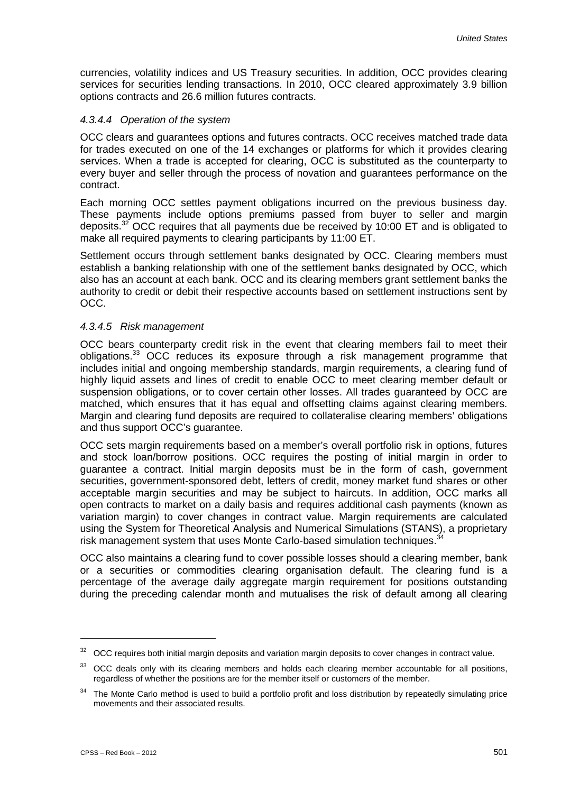currencies, volatility indices and US Treasury securities. In addition, OCC provides clearing services for securities lending transactions. In 2010, OCC cleared approximately 3.9 billion options contracts and 26.6 million futures contracts.

#### *4.3.4.4 Operation of the system*

OCC clears and guarantees options and futures contracts. OCC receives matched trade data for trades executed on one of the 14 exchanges or platforms for which it provides clearing services. When a trade is accepted for clearing, OCC is substituted as the counterparty to every buyer and seller through the process of novation and guarantees performance on the contract.

Each morning OCC settles payment obligations incurred on the previous business day. These payments include options premiums passed from buyer to seller and margin deposits. $32$  OCC requires that all payments due be received by 10:00 ET and is obligated to make all required payments to clearing participants by 11:00 ET.

Settlement occurs through settlement banks designated by OCC. Clearing members must establish a banking relationship with one of the settlement banks designated by OCC, which also has an account at each bank. OCC and its clearing members grant settlement banks the authority to credit or debit their respective accounts based on settlement instructions sent by OCC.

#### *4.3.4.5 Risk management*

OCC bears counterparty credit risk in the event that clearing members fail to meet their obligations.<sup>33</sup> OCC reduces its exposure through a risk management programme that includes initial and ongoing membership standards, margin requirements, a clearing fund of highly liquid assets and lines of credit to enable OCC to meet clearing member default or suspension obligations, or to cover certain other losses. All trades guaranteed by OCC are matched, which ensures that it has equal and offsetting claims against clearing members. Margin and clearing fund deposits are required to collateralise clearing members' obligations and thus support OCC's guarantee.

OCC sets margin requirements based on a member's overall portfolio risk in options, futures and stock loan/borrow positions. OCC requires the posting of initial margin in order to guarantee a contract. Initial margin deposits must be in the form of cash, government securities, government-sponsored debt, letters of credit, money market fund shares or other acceptable margin securities and may be subject to haircuts. In addition, OCC marks all open contracts to market on a daily basis and requires additional cash payments (known as variation margin) to cover changes in contract value. Margin requirements are calculated using the System for Theoretical Analysis and Numerical Simulations (STANS), a proprietary risk management system that uses Monte Carlo-based simulation techniques.<sup>3</sup>

OCC also maintains a clearing fund to cover possible losses should a clearing member, bank or a securities or commodities clearing organisation default. The clearing fund is a percentage of the average daily aggregate margin requirement for positions outstanding during the preceding calendar month and mutualises the risk of default among all clearing

 $32$  OCC requires both initial margin deposits and variation margin deposits to cover changes in contract value.

<sup>&</sup>lt;sup>33</sup> OCC deals only with its clearing members and holds each clearing member accountable for all positions, regardless of whether the positions are for the member itself or customers of the member.

<sup>&</sup>lt;sup>34</sup> The Monte Carlo method is used to build a portfolio profit and loss distribution by repeatedly simulating price movements and their associated results.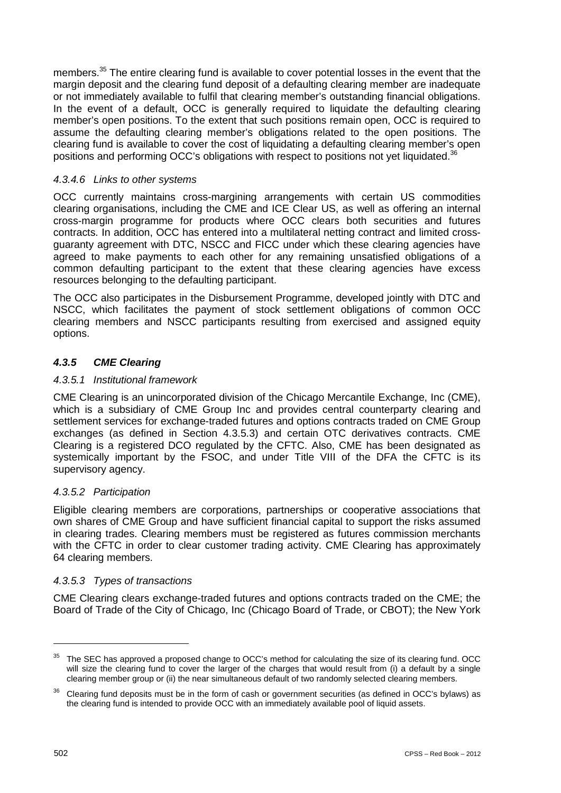members.<sup>35</sup> The entire clearing fund is available to cover potential losses in the event that the margin deposit and the clearing fund deposit of a defaulting clearing member are inadequate or not immediately available to fulfil that clearing member's outstanding financial obligations. In the event of a default, OCC is generally required to liquidate the defaulting clearing member's open positions. To the extent that such positions remain open, OCC is required to assume the defaulting clearing member's obligations related to the open positions. The clearing fund is available to cover the cost of liquidating a defaulting clearing member's open positions and performing OCC's obligations with respect to positions not yet liquidated.<sup>36</sup>

# *4.3.4.6 Links to other systems*

OCC currently maintains cross-margining arrangements with certain US commodities clearing organisations, including the CME and ICE Clear US, as well as offering an internal cross-margin programme for products where OCC clears both securities and futures contracts. In addition, OCC has entered into a multilateral netting contract and limited crossguaranty agreement with DTC, NSCC and FICC under which these clearing agencies have agreed to make payments to each other for any remaining unsatisfied obligations of a common defaulting participant to the extent that these clearing agencies have excess resources belonging to the defaulting participant.

The OCC also participates in the Disbursement Programme, developed jointly with DTC and NSCC, which facilitates the payment of stock settlement obligations of common OCC clearing members and NSCC participants resulting from exercised and assigned equity options.

# *4.3.5 CME Clearing*

### *4.3.5.1 Institutional framework*

CME Clearing is an unincorporated division of the Chicago Mercantile Exchange, Inc (CME), which is a subsidiary of CME Group Inc and provides central counterparty clearing and settlement services for exchange-traded futures and options contracts traded on CME Group exchanges (as defined in Section 4.3.5.3) and certain OTC derivatives contracts. CME Clearing is a registered DCO regulated by the CFTC. Also, CME has been designated as systemically important by the FSOC, and under Title VIII of the DFA the CFTC is its supervisory agency.

### *4.3.5.2 Participation*

Eligible clearing members are corporations, partnerships or cooperative associations that own shares of CME Group and have sufficient financial capital to support the risks assumed in clearing trades. Clearing members must be registered as futures commission merchants with the CFTC in order to clear customer trading activity. CME Clearing has approximately 64 clearing members.

### *4.3.5.3 Types of transactions*

CME Clearing clears exchange-traded futures and options contracts traded on the CME; the Board of Trade of the City of Chicago, Inc (Chicago Board of Trade, or CBOT); the New York

 $35$  The SEC has approved a proposed change to OCC's method for calculating the size of its clearing fund. OCC will size the clearing fund to cover the larger of the charges that would result from (i) a default by a single clearing member group or (ii) the near simultaneous default of two randomly selected clearing members.

<sup>&</sup>lt;sup>36</sup> Clearing fund deposits must be in the form of cash or government securities (as defined in OCC's bylaws) as the clearing fund is intended to provide OCC with an immediately available pool of liquid assets.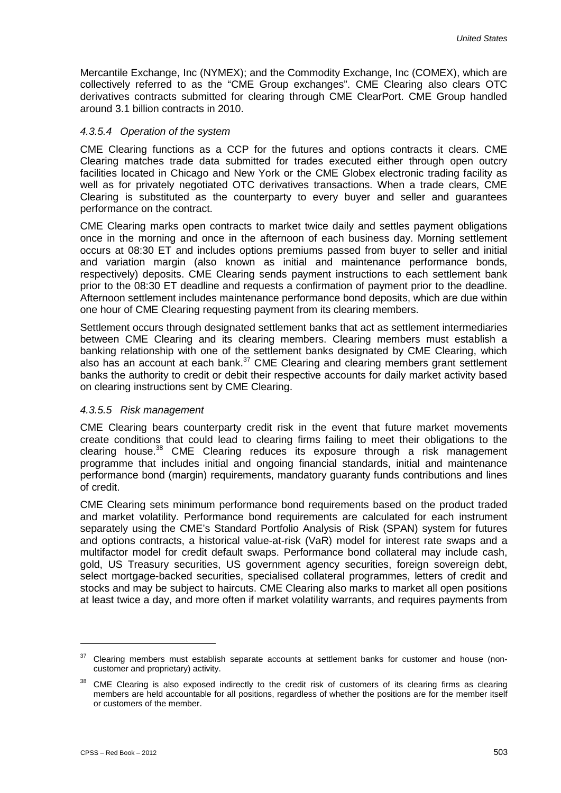Mercantile Exchange, Inc (NYMEX); and the Commodity Exchange, Inc (COMEX), which are collectively referred to as the "CME Group exchanges". CME Clearing also clears OTC derivatives contracts submitted for clearing through CME ClearPort. CME Group handled around 3.1 billion contracts in 2010.

#### *4.3.5.4 Operation of the system*

CME Clearing functions as a CCP for the futures and options contracts it clears. CME Clearing matches trade data submitted for trades executed either through open outcry facilities located in Chicago and New York or the CME Globex electronic trading facility as well as for privately negotiated OTC derivatives transactions. When a trade clears, CME Clearing is substituted as the counterparty to every buyer and seller and guarantees performance on the contract.

CME Clearing marks open contracts to market twice daily and settles payment obligations once in the morning and once in the afternoon of each business day. Morning settlement occurs at 08:30 ET and includes options premiums passed from buyer to seller and initial and variation margin (also known as initial and maintenance performance bonds, respectively) deposits. CME Clearing sends payment instructions to each settlement bank prior to the 08:30 ET deadline and requests a confirmation of payment prior to the deadline. Afternoon settlement includes maintenance performance bond deposits, which are due within one hour of CME Clearing requesting payment from its clearing members.

Settlement occurs through designated settlement banks that act as settlement intermediaries between CME Clearing and its clearing members. Clearing members must establish a banking relationship with one of the settlement banks designated by CME Clearing, which also has an account at each bank. $37$  CME Clearing and clearing members grant settlement banks the authority to credit or debit their respective accounts for daily market activity based on clearing instructions sent by CME Clearing.

#### *4.3.5.5 Risk management*

CME Clearing bears counterparty credit risk in the event that future market movements create conditions that could lead to clearing firms failing to meet their obligations to the clearing house.38 CME Clearing reduces its exposure through a risk management programme that includes initial and ongoing financial standards, initial and maintenance performance bond (margin) requirements, mandatory guaranty funds contributions and lines of credit.

CME Clearing sets minimum performance bond requirements based on the product traded and market volatility. Performance bond requirements are calculated for each instrument separately using the CME's Standard Portfolio Analysis of Risk (SPAN) system for futures and options contracts, a historical value-at-risk (VaR) model for interest rate swaps and a multifactor model for credit default swaps. Performance bond collateral may include cash, gold, US Treasury securities, US government agency securities, foreign sovereign debt, select mortgage-backed securities, specialised collateral programmes, letters of credit and stocks and may be subject to haircuts. CME Clearing also marks to market all open positions at least twice a day, and more often if market volatility warrants, and requires payments from

 $37$  Clearing members must establish separate accounts at settlement banks for customer and house (noncustomer and proprietary) activity.

<sup>&</sup>lt;sup>38</sup> CME Clearing is also exposed indirectly to the credit risk of customers of its clearing firms as clearing members are held accountable for all positions, regardless of whether the positions are for the member itself or customers of the member.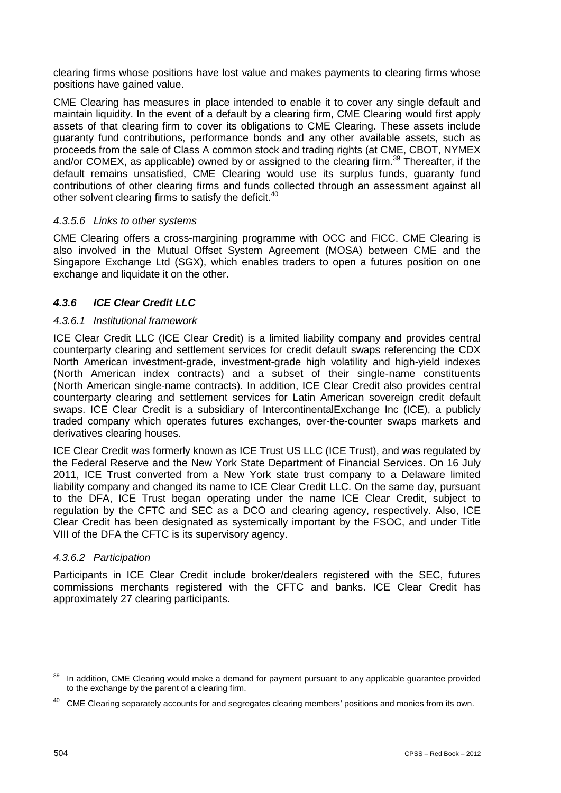clearing firms whose positions have lost value and makes payments to clearing firms whose positions have gained value.

CME Clearing has measures in place intended to enable it to cover any single default and maintain liquidity. In the event of a default by a clearing firm, CME Clearing would first apply assets of that clearing firm to cover its obligations to CME Clearing. These assets include guaranty fund contributions, performance bonds and any other available assets, such as proceeds from the sale of Class A common stock and trading rights (at CME, CBOT, NYMEX and/or COMEX, as applicable) owned by or assigned to the clearing firm.<sup>39</sup> Thereafter, if the default remains unsatisfied, CME Clearing would use its surplus funds, guaranty fund contributions of other clearing firms and funds collected through an assessment against all other solvent clearing firms to satisfy the deficit.<sup>40</sup>

### *4.3.5.6 Links to other systems*

CME Clearing offers a cross-margining programme with OCC and FICC. CME Clearing is also involved in the Mutual Offset System Agreement (MOSA) between CME and the Singapore Exchange Ltd (SGX), which enables traders to open a futures position on one exchange and liquidate it on the other.

### *4.3.6 ICE Clear Credit LLC*

#### *4.3.6.1 Institutional framework*

ICE Clear Credit LLC (ICE Clear Credit) is a limited liability company and provides central counterparty clearing and settlement services for credit default swaps referencing the CDX North American investment-grade, investment-grade high volatility and high-yield indexes (North American index contracts) and a subset of their single-name constituents (North American single-name contracts). In addition, ICE Clear Credit also provides central counterparty clearing and settlement services for Latin American sovereign credit default swaps. ICE Clear Credit is a subsidiary of IntercontinentalExchange Inc (ICE), a publicly traded company which operates futures exchanges, over-the-counter swaps markets and derivatives clearing houses.

ICE Clear Credit was formerly known as ICE Trust US LLC (ICE Trust), and was regulated by the Federal Reserve and the New York State Department of Financial Services. On 16 July 2011, ICE Trust converted from a New York state trust company to a Delaware limited liability company and changed its name to ICE Clear Credit LLC. On the same day, pursuant to the DFA, ICE Trust began operating under the name ICE Clear Credit, subject to regulation by the CFTC and SEC as a DCO and clearing agency, respectively. Also, ICE Clear Credit has been designated as systemically important by the FSOC, and under Title VIII of the DFA the CFTC is its supervisory agency.

#### *4.3.6.2 Participation*

Participants in ICE Clear Credit include broker/dealers registered with the SEC, futures commissions merchants registered with the CFTC and banks. ICE Clear Credit has approximately 27 clearing participants.

In addition, CME Clearing would make a demand for payment pursuant to any applicable guarantee provided to the exchange by the parent of a clearing firm.

<sup>&</sup>lt;sup>40</sup> CME Clearing separately accounts for and segregates clearing members' positions and monies from its own.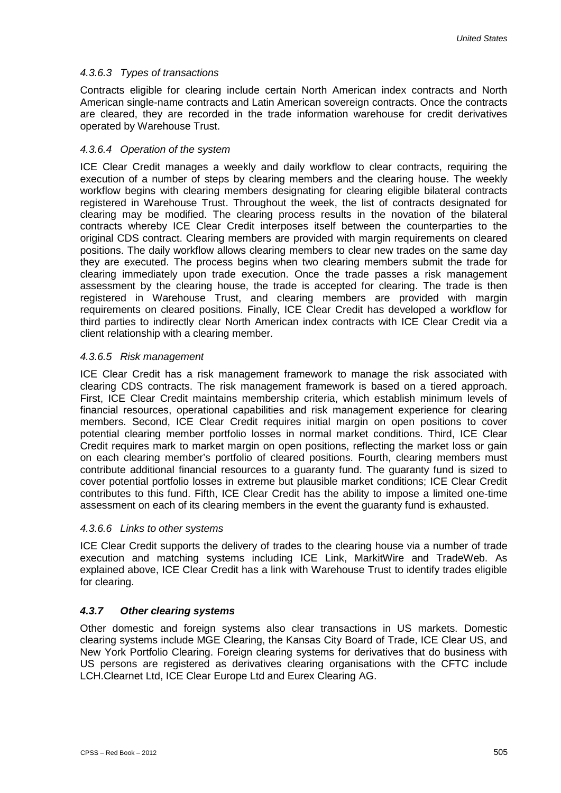# *4.3.6.3 Types of transactions*

Contracts eligible for clearing include certain North American index contracts and North American single-name contracts and Latin American sovereign contracts. Once the contracts are cleared, they are recorded in the trade information warehouse for credit derivatives operated by Warehouse Trust.

# *4.3.6.4 Operation of the system*

ICE Clear Credit manages a weekly and daily workflow to clear contracts, requiring the execution of a number of steps by clearing members and the clearing house. The weekly workflow begins with clearing members designating for clearing eligible bilateral contracts registered in Warehouse Trust. Throughout the week, the list of contracts designated for clearing may be modified. The clearing process results in the novation of the bilateral contracts whereby ICE Clear Credit interposes itself between the counterparties to the original CDS contract. Clearing members are provided with margin requirements on cleared positions. The daily workflow allows clearing members to clear new trades on the same day they are executed. The process begins when two clearing members submit the trade for clearing immediately upon trade execution. Once the trade passes a risk management assessment by the clearing house, the trade is accepted for clearing. The trade is then registered in Warehouse Trust, and clearing members are provided with margin requirements on cleared positions. Finally, ICE Clear Credit has developed a workflow for third parties to indirectly clear North American index contracts with ICE Clear Credit via a client relationship with a clearing member.

# *4.3.6.5 Risk management*

ICE Clear Credit has a risk management framework to manage the risk associated with clearing CDS contracts. The risk management framework is based on a tiered approach. First, ICE Clear Credit maintains membership criteria, which establish minimum levels of financial resources, operational capabilities and risk management experience for clearing members. Second, ICE Clear Credit requires initial margin on open positions to cover potential clearing member portfolio losses in normal market conditions. Third, ICE Clear Credit requires mark to market margin on open positions, reflecting the market loss or gain on each clearing member's portfolio of cleared positions. Fourth, clearing members must contribute additional financial resources to a guaranty fund. The guaranty fund is sized to cover potential portfolio losses in extreme but plausible market conditions; ICE Clear Credit contributes to this fund. Fifth, ICE Clear Credit has the ability to impose a limited one-time assessment on each of its clearing members in the event the guaranty fund is exhausted.

### *4.3.6.6 Links to other systems*

ICE Clear Credit supports the delivery of trades to the clearing house via a number of trade execution and matching systems including ICE Link, MarkitWire and TradeWeb. As explained above, ICE Clear Credit has a link with Warehouse Trust to identify trades eligible for clearing.

# *4.3.7 Other clearing systems*

Other domestic and foreign systems also clear transactions in US markets. Domestic clearing systems include MGE Clearing, the Kansas City Board of Trade, ICE Clear US, and New York Portfolio Clearing. Foreign clearing systems for derivatives that do business with US persons are registered as derivatives clearing organisations with the CFTC include LCH.Clearnet Ltd, ICE Clear Europe Ltd and Eurex Clearing AG.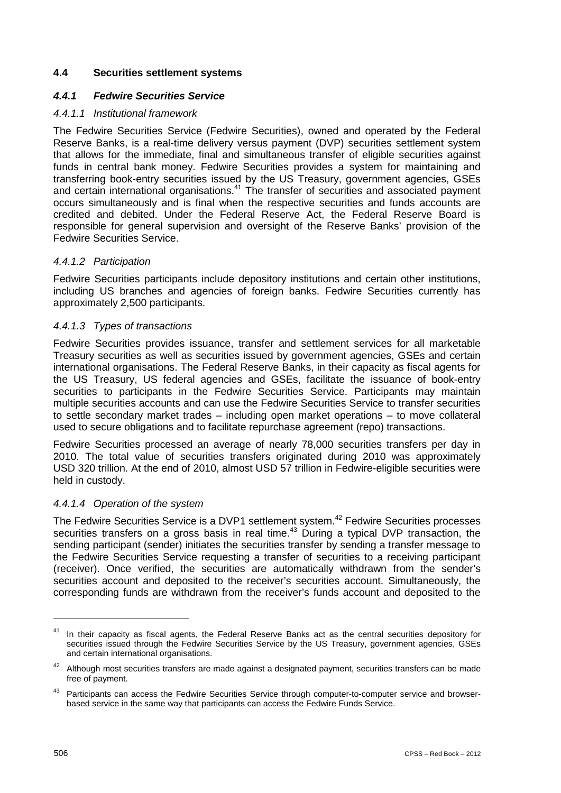#### **4.4 Securities settlement systems**

#### *4.4.1 Fedwire Securities Service*

#### *4.4.1.1 Institutional framework*

The Fedwire Securities Service (Fedwire Securities), owned and operated by the Federal Reserve Banks, is a real-time delivery versus payment (DVP) securities settlement system that allows for the immediate, final and simultaneous transfer of eligible securities against funds in central bank money. Fedwire Securities provides a system for maintaining and transferring book-entry securities issued by the US Treasury, government agencies, GSEs and certain international organisations.<sup>41</sup> The transfer of securities and associated payment occurs simultaneously and is final when the respective securities and funds accounts are credited and debited. Under the Federal Reserve Act, the Federal Reserve Board is responsible for general supervision and oversight of the Reserve Banks' provision of the Fedwire Securities Service.

#### *4.4.1.2 Participation*

Fedwire Securities participants include depository institutions and certain other institutions, including US branches and agencies of foreign banks. Fedwire Securities currently has approximately 2,500 participants.

#### *4.4.1.3 Types of transactions*

Fedwire Securities provides issuance, transfer and settlement services for all marketable Treasury securities as well as securities issued by government agencies, GSEs and certain international organisations. The Federal Reserve Banks, in their capacity as fiscal agents for the US Treasury, US federal agencies and GSEs, facilitate the issuance of book-entry securities to participants in the Fedwire Securities Service. Participants may maintain multiple securities accounts and can use the Fedwire Securities Service to transfer securities to settle secondary market trades – including open market operations – to move collateral used to secure obligations and to facilitate repurchase agreement (repo) transactions.

Fedwire Securities processed an average of nearly 78,000 securities transfers per day in 2010. The total value of securities transfers originated during 2010 was approximately USD 320 trillion. At the end of 2010, almost USD 57 trillion in Fedwire-eligible securities were held in custody.

#### *4.4.1.4 Operation of the system*

The Fedwire Securities Service is a DVP1 settlement system.<sup>42</sup> Fedwire Securities processes securities transfers on a gross basis in real time.<sup>43</sup> During a typical DVP transaction, the sending participant (sender) initiates the securities transfer by sending a transfer message to the Fedwire Securities Service requesting a transfer of securities to a receiving participant (receiver). Once verified, the securities are automatically withdrawn from the sender's securities account and deposited to the receiver's securities account. Simultaneously, the corresponding funds are withdrawn from the receiver's funds account and deposited to the

<sup>&</sup>lt;sup>41</sup> In their capacity as fiscal agents, the Federal Reserve Banks act as the central securities depository for securities issued through the Fedwire Securities Service by the US Treasury, government agencies, GSEs and certain international organisations.

<sup>&</sup>lt;sup>42</sup> Although most securities transfers are made against a designated payment, securities transfers can be made free of payment.

<sup>&</sup>lt;sup>43</sup> Participants can access the Fedwire Securities Service through computer-to-computer service and browserbased service in the same way that participants can access the Fedwire Funds Service.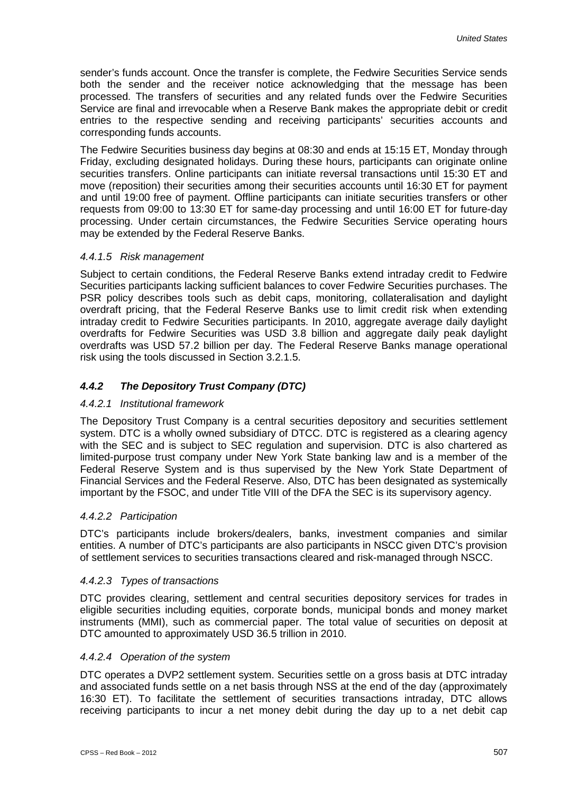sender's funds account. Once the transfer is complete, the Fedwire Securities Service sends both the sender and the receiver notice acknowledging that the message has been processed. The transfers of securities and any related funds over the Fedwire Securities Service are final and irrevocable when a Reserve Bank makes the appropriate debit or credit entries to the respective sending and receiving participants' securities accounts and corresponding funds accounts.

The Fedwire Securities business day begins at 08:30 and ends at 15:15 ET, Monday through Friday, excluding designated holidays. During these hours, participants can originate online securities transfers. Online participants can initiate reversal transactions until 15:30 ET and move (reposition) their securities among their securities accounts until 16:30 ET for payment and until 19:00 free of payment. Offline participants can initiate securities transfers or other requests from 09:00 to 13:30 ET for same-day processing and until 16:00 ET for future-day processing. Under certain circumstances, the Fedwire Securities Service operating hours may be extended by the Federal Reserve Banks.

#### *4.4.1.5 Risk management*

Subject to certain conditions, the Federal Reserve Banks extend intraday credit to Fedwire Securities participants lacking sufficient balances to cover Fedwire Securities purchases. The PSR policy describes tools such as debit caps, monitoring, collateralisation and daylight overdraft pricing, that the Federal Reserve Banks use to limit credit risk when extending intraday credit to Fedwire Securities participants. In 2010, aggregate average daily daylight overdrafts for Fedwire Securities was USD 3.8 billion and aggregate daily peak daylight overdrafts was USD 57.2 billion per day. The Federal Reserve Banks manage operational risk using the tools discussed in Section 3.2.1.5.

### *4.4.2 The Depository Trust Company (DTC)*

#### *4.4.2.1 Institutional framework*

The Depository Trust Company is a central securities depository and securities settlement system. DTC is a wholly owned subsidiary of DTCC. DTC is registered as a clearing agency with the SEC and is subject to SEC regulation and supervision. DTC is also chartered as limited-purpose trust company under New York State banking law and is a member of the Federal Reserve System and is thus supervised by the New York State Department of Financial Services and the Federal Reserve. Also, DTC has been designated as systemically important by the FSOC, and under Title VIII of the DFA the SEC is its supervisory agency.

#### *4.4.2.2 Participation*

DTC's participants include brokers/dealers, banks, investment companies and similar entities. A number of DTC's participants are also participants in NSCC given DTC's provision of settlement services to securities transactions cleared and risk-managed through NSCC.

#### *4.4.2.3 Types of transactions*

DTC provides clearing, settlement and central securities depository services for trades in eligible securities including equities, corporate bonds, municipal bonds and money market instruments (MMI), such as commercial paper. The total value of securities on deposit at DTC amounted to approximately USD 36.5 trillion in 2010.

#### *4.4.2.4 Operation of the system*

DTC operates a DVP2 settlement system. Securities settle on a gross basis at DTC intraday and associated funds settle on a net basis through NSS at the end of the day (approximately 16:30 ET). To facilitate the settlement of securities transactions intraday, DTC allows receiving participants to incur a net money debit during the day up to a net debit cap